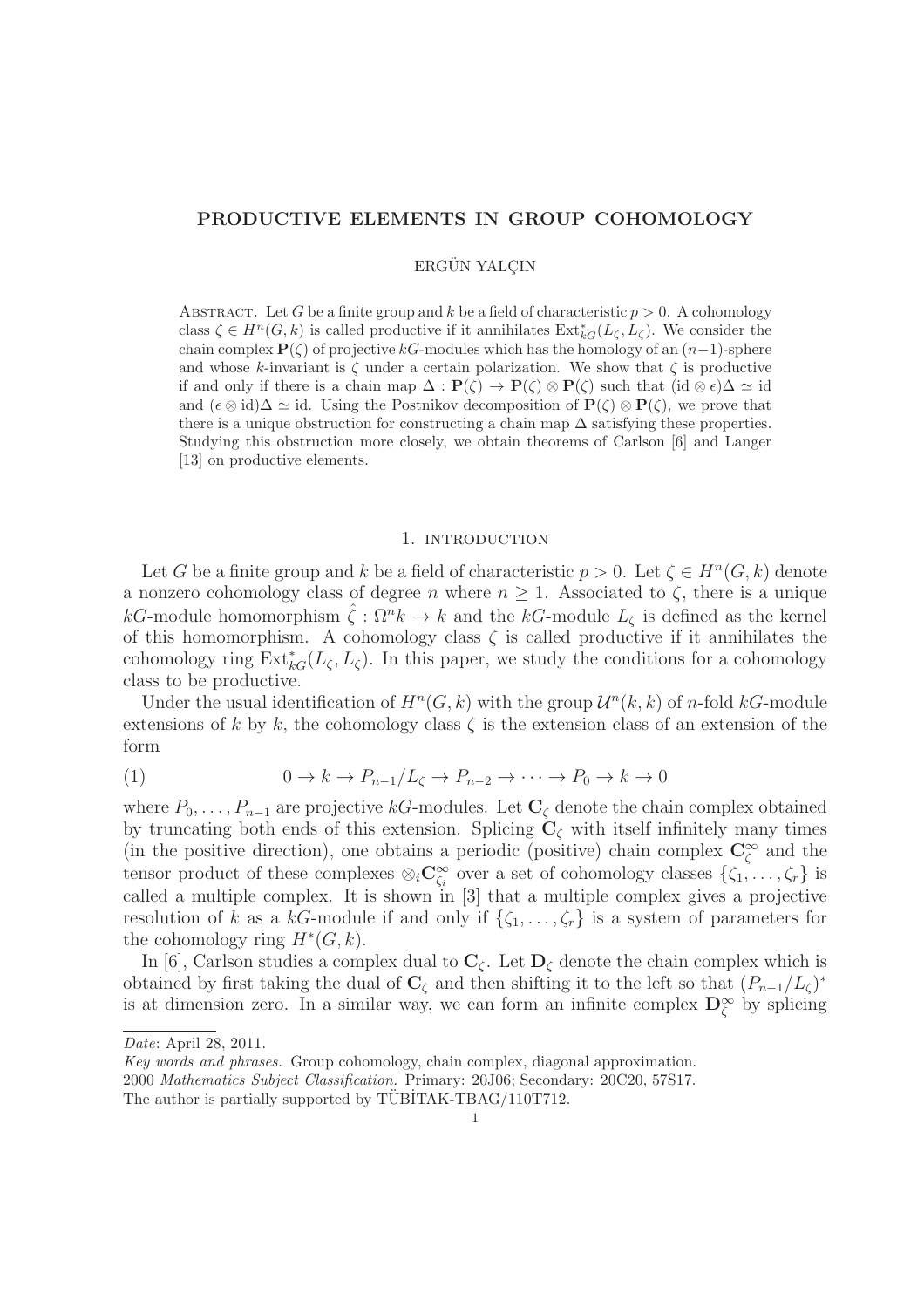# PRODUCTIVE ELEMENTS IN GROUP COHOMOLOGY

# ERGÜN YALCIN

ABSTRACT. Let G be a finite group and k be a field of characteristic  $p > 0$ . A cohomology class  $\zeta \in H^n(G, k)$  is called productive if it annihilates  $\operatorname{Ext}_{kG}^*(L_{\zeta}, L_{\zeta})$ . We consider the chain complex  $\mathbf{P}(\zeta)$  of projective kG-modules which has the homology of an  $(n-1)$ -sphere and whose k-invariant is  $\zeta$  under a certain polarization. We show that  $\zeta$  is productive if and only if there is a chain map  $\Delta : \mathbf{P}(\zeta) \to \mathbf{P}(\zeta) \otimes \mathbf{P}(\zeta)$  such that  $(id \otimes \zeta) \Delta \simeq id$ and  $({\epsilon} \otimes id)\Delta \simeq id$ . Using the Postnikov decomposition of  ${\bf P}(\zeta) \otimes {\bf P}(\zeta)$ , we prove that there is a unique obstruction for constructing a chain map  $\Delta$  satisfying these properties. Studying this obstruction more closely, we obtain theorems of Carlson [6] and Langer [13] on productive elements.

#### 1. INTRODUCTION

Let G be a finite group and k be a field of characteristic  $p > 0$ . Let  $\zeta \in H^n(G, k)$  denote a nonzero cohomology class of degree n where  $n \geq 1$ . Associated to  $\zeta$ , there is a unique kG-module homomorphism  $\zeta : \Omega^n k \to k$  and the kG-module  $L_{\zeta}$  is defined as the kernel of this homomorphism. A cohomology class  $\zeta$  is called productive if it annihilates the cohomology ring  $\text{Ext}_{kG}^*(L_{\zeta}, L_{\zeta})$ . In this paper, we study the conditions for a cohomology class to be productive.

Under the usual identification of  $H^n(G, k)$  with the group  $\mathcal{U}^n(k, k)$  of n-fold kG-module extensions of k by k, the cohomology class  $\zeta$  is the extension class of an extension of the form

(1) 
$$
0 \to k \to P_{n-1}/L_{\zeta} \to P_{n-2} \to \cdots \to P_0 \to k \to 0
$$

where  $P_0, \ldots, P_{n-1}$  are projective kG-modules. Let  $\mathbb{C}_{\zeta}$  denote the chain complex obtained by truncating both ends of this extension. Splicing  $C_{\zeta}$  with itself infinitely many times (in the positive direction), one obtains a periodic (positive) chain complex  $\mathbb{C}^{\infty}_{\zeta}$  and the tensor product of these complexes  $\otimes_i \mathbb{C}^\infty_{\zeta_i}$  over a set of cohomology classes  $\{\zeta_1, \ldots, \zeta_r\}$  is called a multiple complex. It is shown in [3] that a multiple complex gives a projective resolution of k as a kG-module if and only if  $\{\zeta_1, \ldots, \zeta_r\}$  is a system of parameters for the cohomology ring  $H^*(G, k)$ .

In [6], Carlson studies a complex dual to  $C_{\zeta}$ . Let  $D_{\zeta}$  denote the chain complex which is obtained by first taking the dual of  $\mathbf{C}_{\zeta}$  and then shifting it to the left so that  $(P_{n-1}/L_{\zeta})^*$ is at dimension zero. In a similar way, we can form an infinite complex  $\mathbf{D}_{\zeta}^{\infty}$  by splicing

*Date*: April 28, 2011.

*Key words and phrases.* Group cohomology, chain complex, diagonal approximation.

<sup>2000</sup> *Mathematics Subject Classification.* Primary: 20J06; Secondary: 20C20, 57S17.

The author is partially supported by  $\overline{\text{TUBITAK-TBAG}}/110\overline{\text{T712}}$ .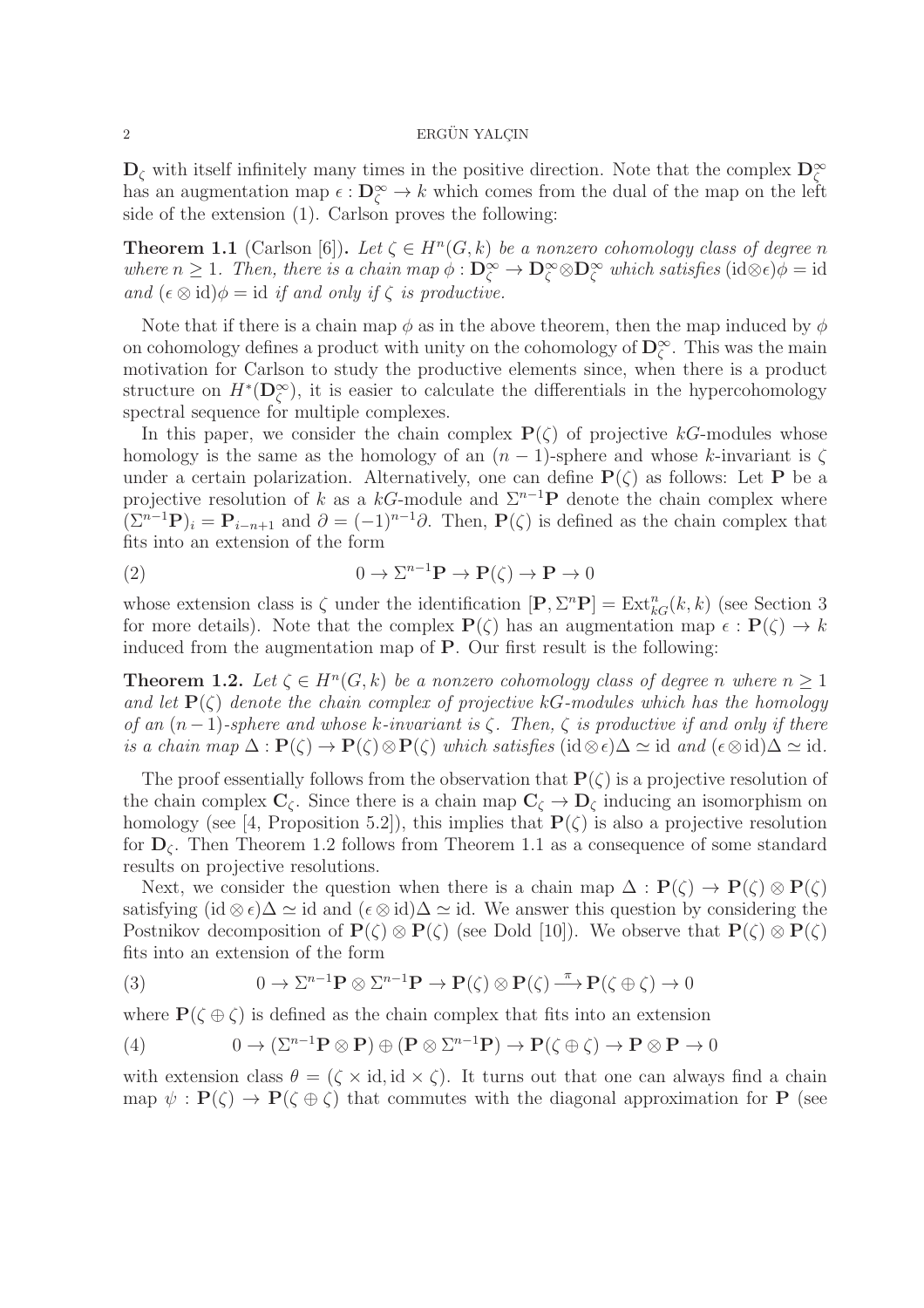### $2 \longrightarrow$  ERGÜN YALCIN

 $\mathbf{D}_{\zeta}$  with itself infinitely many times in the positive direction. Note that the complex  $\mathbf{D}_{\zeta}^{\infty}$ has an augmentation map  $\epsilon : \mathbf{D}_{\zeta}^{\infty} \to k$  which comes from the dual of the map on the left side of the extension (1). Carlson proves the following:

**Theorem 1.1** (Carlson [6]). Let  $\zeta \in H^n(G,k)$  be a nonzero cohomology class of degree n *where*  $n \geq 1$ *. Then, there is a chain map*  $\phi : D^{\infty}_{\zeta} \to D^{\infty}_{\zeta} \otimes D^{\infty}_{\zeta}$  *which satisfies*  $(id \otimes \epsilon)\phi = id$ *and*  $(\epsilon \otimes id)\phi = id$  *if and only if*  $\zeta$  *is productive.* 

Note that if there is a chain map  $\phi$  as in the above theorem, then the map induced by  $\phi$ on cohomology defines a product with unity on the cohomology of  $\mathbf{D}_{\zeta}^{\infty}$ . This was the main motivation for Carlson to study the productive elements since, when there is a product structure on  $H^*(D_{\zeta}^{\infty})$ , it is easier to calculate the differentials in the hypercohomology spectral sequence for multiple complexes.

In this paper, we consider the chain complex  $P(\zeta)$  of projective kG-modules whose homology is the same as the homology of an  $(n - 1)$ -sphere and whose k-invariant is  $\zeta$ under a certain polarization. Alternatively, one can define  $P(\zeta)$  as follows: Let P be a projective resolution of k as a kG-module and  $\Sigma^{n-1}$ P denote the chain complex where  $(\Sigma^{n-1}\mathbf{P})_i = \mathbf{P}_{i-n+1}$  and  $\partial = (-1)^{n-1}\partial$ . Then,  $\mathbf{P}(\zeta)$  is defined as the chain complex that fits into an extension of the form

(2) 
$$
0 \to \Sigma^{n-1} \mathbf{P} \to \mathbf{P}(\zeta) \to \mathbf{P} \to 0
$$

whose extension class is  $\zeta$  under the identification  $[\mathbf{P}, \Sigma^n \mathbf{P}] = \text{Ext}_{kG}^n(k, k)$  (see Section 3 for more details). Note that the complex  $P(\zeta)$  has an augmentation map  $\epsilon : P(\zeta) \to k$ induced from the augmentation map of P. Our first result is the following:

**Theorem 1.2.** Let  $\zeta \in H^n(G,k)$  be a nonzero cohomology class of degree n where  $n \geq 1$ *and let*  $P(\zeta)$  *denote the chain complex of projective* kG-modules which has the homology *of an* (n−1)*-sphere and whose* k*-invariant is* ζ*. Then,* ζ *is productive if and only if there is a chain map*  $\Delta : \mathbf{P}(\zeta) \to \mathbf{P}(\zeta) \otimes \mathbf{P}(\zeta)$  *which satisfies* (id  $\otimes \epsilon$ ) $\Delta \simeq$  id *and* ( $\epsilon \otimes$  id) $\Delta \simeq$  id.

The proof essentially follows from the observation that  $P(\zeta)$  is a projective resolution of the chain complex  $C_{\zeta}$ . Since there is a chain map  $C_{\zeta} \to D_{\zeta}$  inducing an isomorphism on homology (see [4, Proposition 5.2]), this implies that  $P(\zeta)$  is also a projective resolution for  $D_{\zeta}$ . Then Theorem 1.2 follows from Theorem 1.1 as a consequence of some standard results on projective resolutions.

Next, we consider the question when there is a chain map  $\Delta : P(\zeta) \to P(\zeta) \otimes P(\zeta)$ satisfying (id  $\otimes \epsilon$ ) $\Delta \simeq$  id and  $(\epsilon \otimes id)\Delta \simeq id$ . We answer this question by considering the Postnikov decomposition of  $P(\zeta) \otimes P(\zeta)$  (see Dold [10]). We observe that  $P(\zeta) \otimes P(\zeta)$ fits into an extension of the form

(3) 
$$
0 \to \Sigma^{n-1} \mathbf{P} \otimes \Sigma^{n-1} \mathbf{P} \to \mathbf{P}(\zeta) \otimes \mathbf{P}(\zeta) \xrightarrow{\pi} \mathbf{P}(\zeta \oplus \zeta) \to 0
$$

where  $\mathbf{P}(\zeta \oplus \zeta)$  is defined as the chain complex that fits into an extension

(4) 
$$
0 \to (\Sigma^{n-1} \mathbf{P} \otimes \mathbf{P}) \oplus (\mathbf{P} \otimes \Sigma^{n-1} \mathbf{P}) \to \mathbf{P}(\zeta \oplus \zeta) \to \mathbf{P} \otimes \mathbf{P} \to 0
$$

with extension class  $\theta = (\zeta \times id, id \times \zeta)$ . It turns out that one can always find a chain map  $\psi : \mathbf{P}(\zeta) \to \mathbf{P}(\zeta \oplus \zeta)$  that commutes with the diagonal approximation for P (see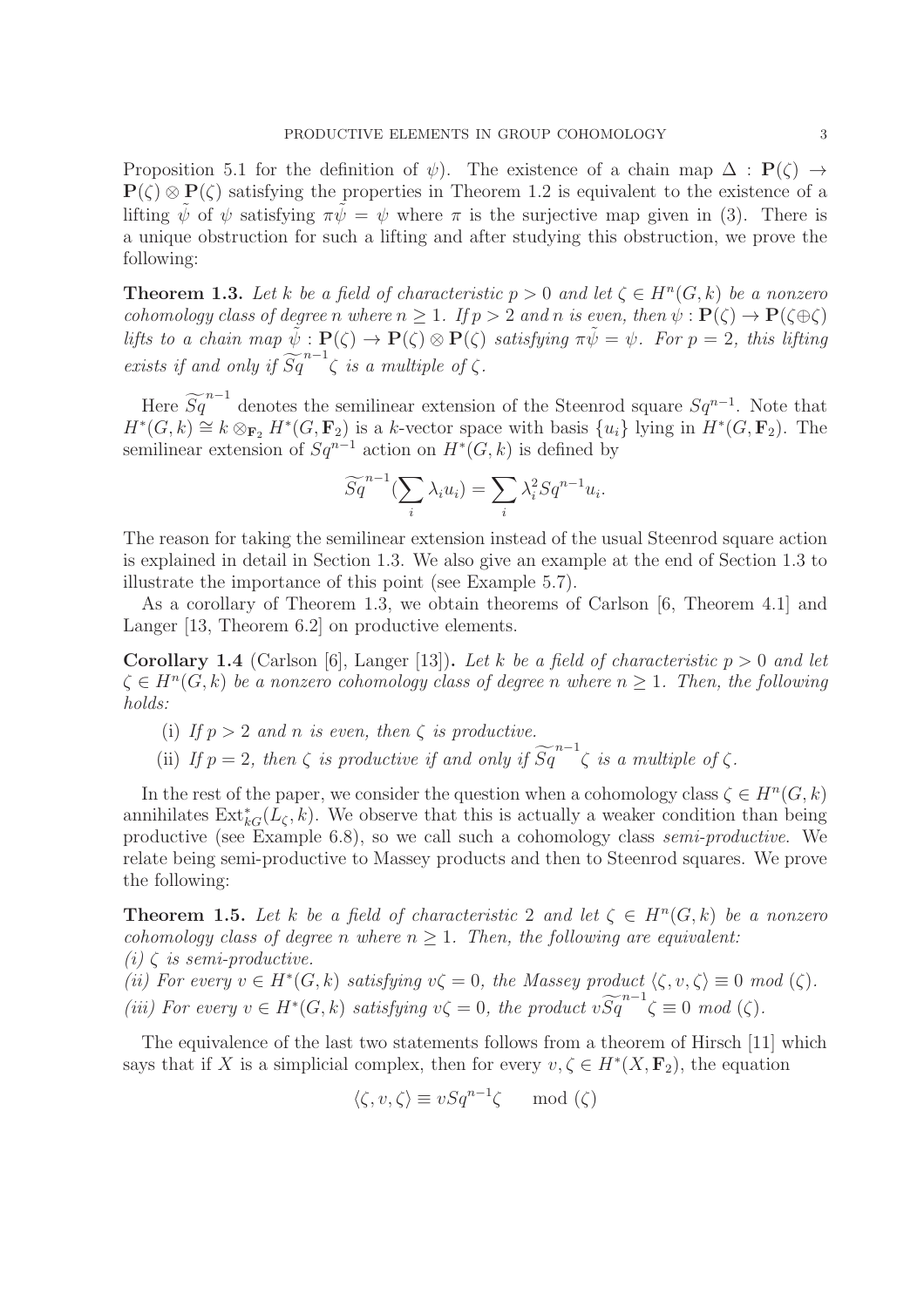Proposition 5.1 for the definition of  $\psi$ ). The existence of a chain map  $\Delta : P(\zeta) \rightarrow$  $P(\zeta) \otimes P(\zeta)$  satisfying the properties in Theorem 1.2 is equivalent to the existence of a lifting  $\psi$  of  $\psi$  satisfying  $\pi\psi = \psi$  where  $\pi$  is the surjective map given in (3). There is a unique obstruction for such a lifting and after studying this obstruction, we prove the following:

**Theorem 1.3.** Let k be a field of characteristic  $p > 0$  and let  $\zeta \in H^n(G, k)$  be a nonzero *cohomology class of degree* n where  $n \geq 1$ *. If*  $p > 2$  *and* n *is even, then*  $\psi : \mathbf{P}(\zeta) \to \mathbf{P}(\zeta \oplus \zeta)$ *lifts to a chain map*  $\tilde{\psi}: \mathbf{P}(\zeta) \to \mathbf{P}(\zeta) \otimes \mathbf{P}(\zeta)$  *satisfying*  $\pi \tilde{\psi} = \psi$ *. For*  $p = 2$ *, this lifting exists if and only if*  $\widetilde{Sq}^{n-1}$  $\zeta$  *is a multiple of*  $\zeta$ *.* 

Here  $\widetilde{Sq}^{n-1}$  denotes the semilinear extension of the Steenrod square  $Sq^{n-1}$ . Note that  $H^*(G, k) \cong k \otimes_{\mathbf{F}_2} H^*(G, \mathbf{F}_2)$  is a k-vector space with basis  $\{u_i\}$  lying in  $H^*(G, \mathbf{F}_2)$ . The semilinear extension of  $Sq^{n-1}$  action on  $H^*(G, k)$  is defined by

$$
\widetilde{Sq}^{n-1}(\sum_{i} \lambda_i u_i) = \sum_{i} \lambda_i^2 Sq^{n-1}u_i.
$$

The reason for taking the semilinear extension instead of the usual Steenrod square action is explained in detail in Section 1.3. We also give an example at the end of Section 1.3 to illustrate the importance of this point (see Example 5.7).

As a corollary of Theorem 1.3, we obtain theorems of Carlson [6, Theorem 4.1] and Langer [13, Theorem 6.2] on productive elements.

**Corollary 1.4** (Carlson [6], Langer [13]). Let k be a field of characteristic  $p > 0$  and let  $\zeta \in H^n(G, k)$  *be a nonzero cohomology class of degree n* where  $n \geq 1$ . Then, the following *holds:*

- (i) If  $p > 2$  *and* n *is even, then*  $\zeta$  *is productive.*
- (ii) *If*  $p = 2$ *, then*  $\zeta$  *is productive if and only if*  $\widetilde{Sq}^{n-1} \zeta$  *is a multiple of*  $\zeta$ *.*

In the rest of the paper, we consider the question when a cohomology class  $\zeta \in H^n(G, k)$ annihilates  $\text{Ext}_{kG}^*(L_{\zeta}, k)$ . We observe that this is actually a weaker condition than being productive (see Example 6.8), so we call such a cohomology class *semi-productive*. We relate being semi-productive to Massey products and then to Steenrod squares. We prove the following:

**Theorem 1.5.** Let k be a field of characteristic 2 and let  $\zeta \in H^n(G,k)$  be a nonzero *cohomology class of degree n where*  $n \geq 1$ *. Then, the following are equivalent:*  $(i) \zeta$  *is semi-productive.* 

(*ii*) For every  $v \in H^*(G, k)$  satisfying  $v\zeta = 0$ , the Massey product  $\langle \zeta, v, \zeta \rangle \equiv 0 \mod(\zeta)$ . (*iii*) For every  $v \in H^*(G, k)$  satisfying  $v\zeta = 0$ , the product  $v\widetilde{Sq}^{n-1}\zeta \equiv 0 \mod(\zeta)$ .

The equivalence of the last two statements follows from a theorem of Hirsch [11] which says that if X is a simplicial complex, then for every  $v, \zeta \in H^*(X, \mathbf{F}_2)$ , the equation

$$
\langle \zeta, v, \zeta \rangle \equiv vSq^{n-1}\zeta \mod(\zeta)
$$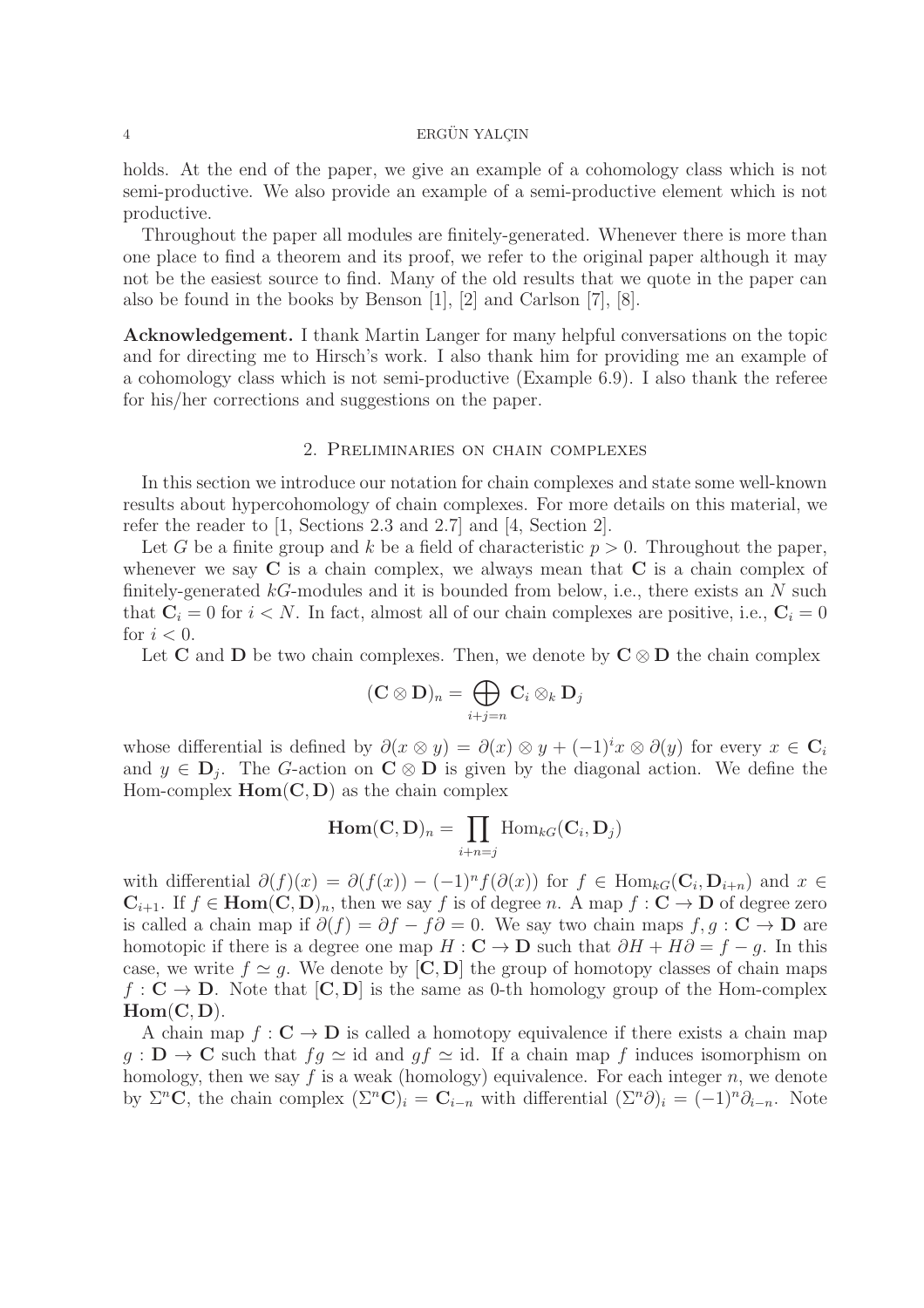holds. At the end of the paper, we give an example of a cohomology class which is not semi-productive. We also provide an example of a semi-productive element which is not productive.

Throughout the paper all modules are finitely-generated. Whenever there is more than one place to find a theorem and its proof, we refer to the original paper although it may not be the easiest source to find. Many of the old results that we quote in the paper can also be found in the books by Benson [1], [2] and Carlson [7], [8].

Acknowledgement. I thank Martin Langer for many helpful conversations on the topic and for directing me to Hirsch's work. I also thank him for providing me an example of a cohomology class which is not semi-productive (Example 6.9). I also thank the referee for his/her corrections and suggestions on the paper.

# 2. Preliminaries on chain complexes

In this section we introduce our notation for chain complexes and state some well-known results about hypercohomology of chain complexes. For more details on this material, we refer the reader to [1, Sections 2.3 and 2.7] and [4, Section 2].

Let G be a finite group and k be a field of characteristic  $p > 0$ . Throughout the paper, whenever we say  $C$  is a chain complex, we always mean that  $C$  is a chain complex of finitely-generated  $k\tilde{G}$ -modules and it is bounded from below, i.e., there exists an N such that  $C_i = 0$  for  $i < N$ . In fact, almost all of our chain complexes are positive, i.e.,  $C_i = 0$ for  $i < 0$ .

Let C and D be two chain complexes. Then, we denote by  $C \otimes D$  the chain complex

$$
(\mathbf{C} \otimes \mathbf{D})_n = \bigoplus_{i+j=n} \mathbf{C}_i \otimes_k \mathbf{D}_j
$$

whose differential is defined by  $\partial(x \otimes y) = \partial(x) \otimes y + (-1)^i x \otimes \partial(y)$  for every  $x \in \mathbb{C}_i$ and  $y \in \mathbf{D}_j$ . The G-action on  $\mathbf{C} \otimes \mathbf{D}$  is given by the diagonal action. We define the Hom-complex  $Hom(C, D)$  as the chain complex

$$
\operatorname{Hom}(\mathbf{C},\mathbf{D})_n = \prod_{i+n=j} \operatorname{Hom}_{kG}(\mathbf{C}_i,\mathbf{D}_j)
$$

with differential  $\partial(f)(x) = \partial(f(x)) - (-1)^n f(\partial(x))$  for  $f \in \text{Hom}_{kG}(\mathbf{C}_i, \mathbf{D}_{i+n})$  and  $x \in$  $C_{i+1}$ . If  $f \in \text{Hom}(C, D)_n$ , then we say f is of degree n. A map  $f : C \to D$  of degree zero is called a chain map if  $\partial(f) = \partial f - f\partial = 0$ . We say two chain maps  $f, g : \mathbf{C} \to \mathbf{D}$  are homotopic if there is a degree one map  $H : \mathbf{C} \to \mathbf{D}$  such that  $\partial H + H\partial = f - g$ . In this case, we write  $f \simeq g$ . We denote by  $[\mathbf{C}, \mathbf{D}]$  the group of homotopy classes of chain maps  $f: \mathbf{C} \to \mathbf{D}$ . Note that  $[\mathbf{C}, \mathbf{D}]$  is the same as 0-th homology group of the Hom-complex  $Hom(C, D)$ .

A chain map  $f: \mathbf{C} \to \mathbf{D}$  is called a homotopy equivalence if there exists a chain map  $g: \mathbf{D} \to \mathbf{C}$  such that  $fg \simeq id$  and  $gf \simeq id$ . If a chain map f induces isomorphism on homology, then we say f is a weak (homology) equivalence. For each integer  $n$ , we denote by  $\Sigma^n$ **C**, the chain complex  $(\Sigma^n C)_i = C_{i-n}$  with differential  $(\Sigma^n \partial)_i = (-1)^n \partial_{i-n}$ . Note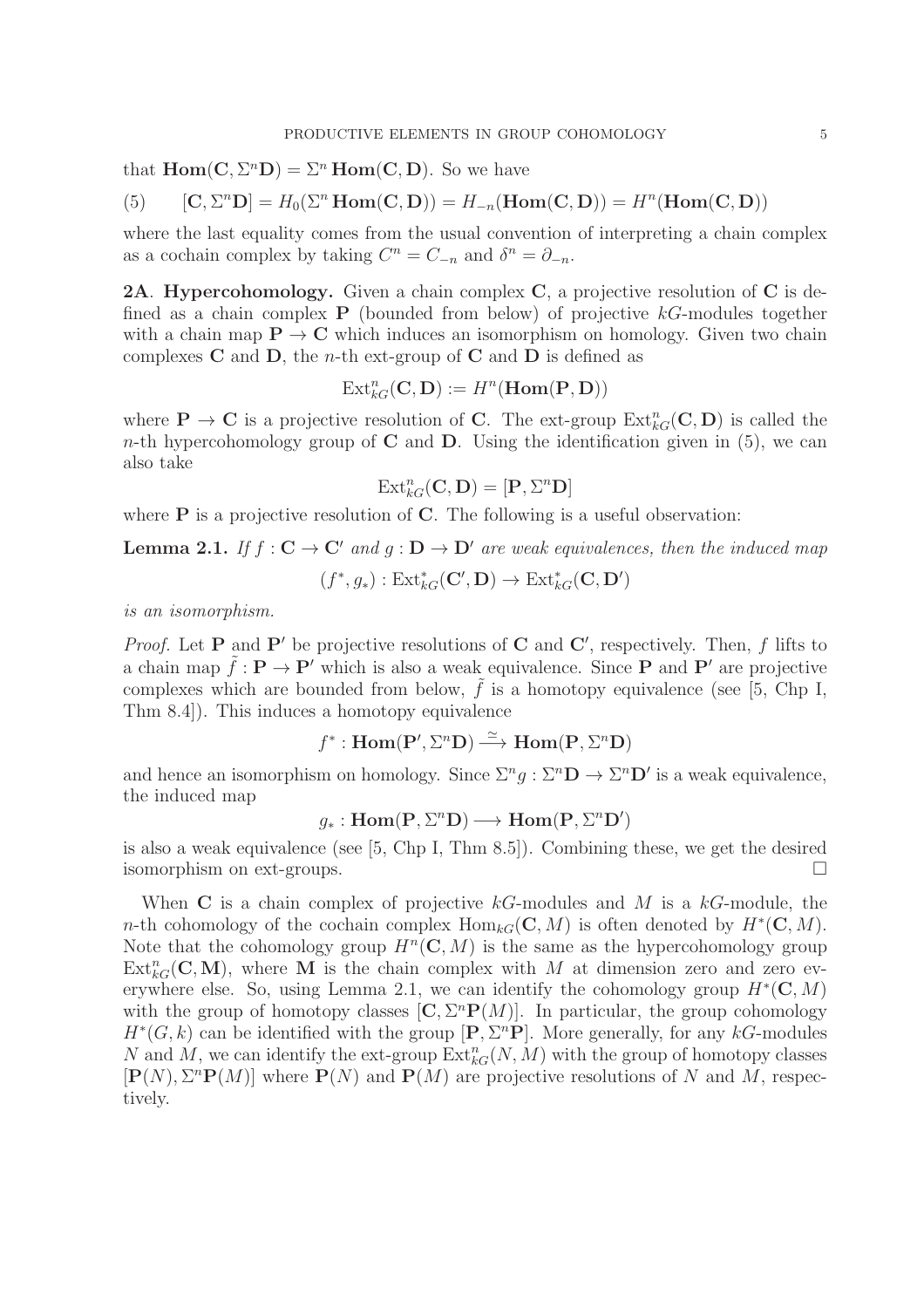that  $\text{Hom}(\mathbf{C}, \Sigma^n \mathbf{D}) = \Sigma^n \text{Hom}(\mathbf{C}, \mathbf{D})$ . So we have

(5) 
$$
[\mathbf{C}, \Sigma^n \mathbf{D}] = H_0(\Sigma^n \operatorname{Hom}(\mathbf{C}, \mathbf{D})) = H_{-n}(\operatorname{Hom}(\mathbf{C}, \mathbf{D})) = H^n(\operatorname{Hom}(\mathbf{C}, \mathbf{D}))
$$

where the last equality comes from the usual convention of interpreting a chain complex as a cochain complex by taking  $C^n = C_{-n}$  and  $\delta^n = \partial_{-n}$ .

**2A. Hypercohomology.** Given a chain complex  $C$ , a projective resolution of  $C$  is defined as a chain complex  $P$  (bounded from below) of projective  $kG$ -modules together with a chain map  $\mathbf{P} \to \mathbf{C}$  which induces an isomorphism on homology. Given two chain complexes  $C$  and  $D$ , the *n*-th ext-group of  $C$  and  $D$  is defined as

$$
\mathrm{Ext}^n_{kG}(\mathbf{C},\mathbf{D}):=H^n(\text{Hom}(\mathbf{P},\mathbf{D}))
$$

where  $\mathbf{P} \to \mathbf{C}$  is a projective resolution of **C**. The ext-group  $\text{Ext}_{kG}^n(\mathbf{C}, \mathbf{D})$  is called the n-th hypercohomology group of  $C$  and  $D$ . Using the identification given in (5), we can also take

$$
\operatorname{Ext}^n_{kG}(\mathbf{C},\mathbf{D})=[\mathbf{P},\Sigma^n\mathbf{D}]
$$

where  $P$  is a projective resolution of  $C$ . The following is a useful observation:

**Lemma 2.1.** *If*  $f : C \to C'$  *and*  $q : D \to D'$  *are weak equivalences, then the induced map* 

$$
(f^*, g_*) : \mathrm{Ext}^*_{kG}(\mathbf{C}', \mathbf{D}) \to \mathrm{Ext}^*_{kG}(\mathbf{C}, \mathbf{D}')
$$

*is an isomorphism.*

*Proof.* Let **P** and **P**' be projective resolutions of **C** and **C**', respectively. Then, f lifts to a chain map  $\tilde{f}: \mathbf{P} \to \mathbf{P}'$  which is also a weak equivalence. Since **P** and **P'** are projective complexes which are bounded from below,  $\tilde{f}$  is a homotopy equivalence (see [5, Chp I, Thm 8.4]). This induces a homotopy equivalence

$$
f^* : \text{Hom}(\mathbf{P}', \Sigma^n \mathbf{D}) \stackrel{\simeq}{\longrightarrow} \text{Hom}(\mathbf{P}, \Sigma^n \mathbf{D})
$$

and hence an isomorphism on homology. Since  $\Sigma^n g : \Sigma^n \mathbf{D} \to \Sigma^n \mathbf{D}'$  is a weak equivalence, the induced map

# $g_*: \mathbf{Hom}(\mathbf{P}, \Sigma^n \mathbf{D}) \longrightarrow \mathbf{Hom}(\mathbf{P}, \Sigma^n \mathbf{D}')$

is also a weak equivalence (see [5, Chp I, Thm 8.5]). Combining these, we get the desired isomorphism on ext-groups.

When C is a chain complex of projective  $k$ -modules and M is a  $k$ -module, the n-th cohomology of the cochain complex  $\text{Hom}_{kG}(\mathbb{C}, M)$  is often denoted by  $H^*(\mathbb{C}, M)$ . Note that the cohomology group  $H^n(\mathbb{C}, M)$  is the same as the hypercohomology group  $\text{Ext}_{kG}^{n}(\mathbb{C}, \mathbb{M})$ , where M is the chain complex with M at dimension zero and zero everywhere else. So, using Lemma 2.1, we can identify the cohomology group  $H^*(\mathbb{C}, M)$ with the group of homotopy classes  $[C, \Sigma^n P(M)]$ . In particular, the group cohomology  $H^*(G, k)$  can be identified with the group  $[\mathbf{P}, \Sigma^n \mathbf{P}]$ . More generally, for any kG-modules N and M, we can identify the ext-group  $\text{Ext}_{kG}^{n}(N, M)$  with the group of homotopy classes  $[P(N), \Sigma^{n}P(M)]$  where  $P(N)$  and  $P(M)$  are projective resolutions of N and M, respectively.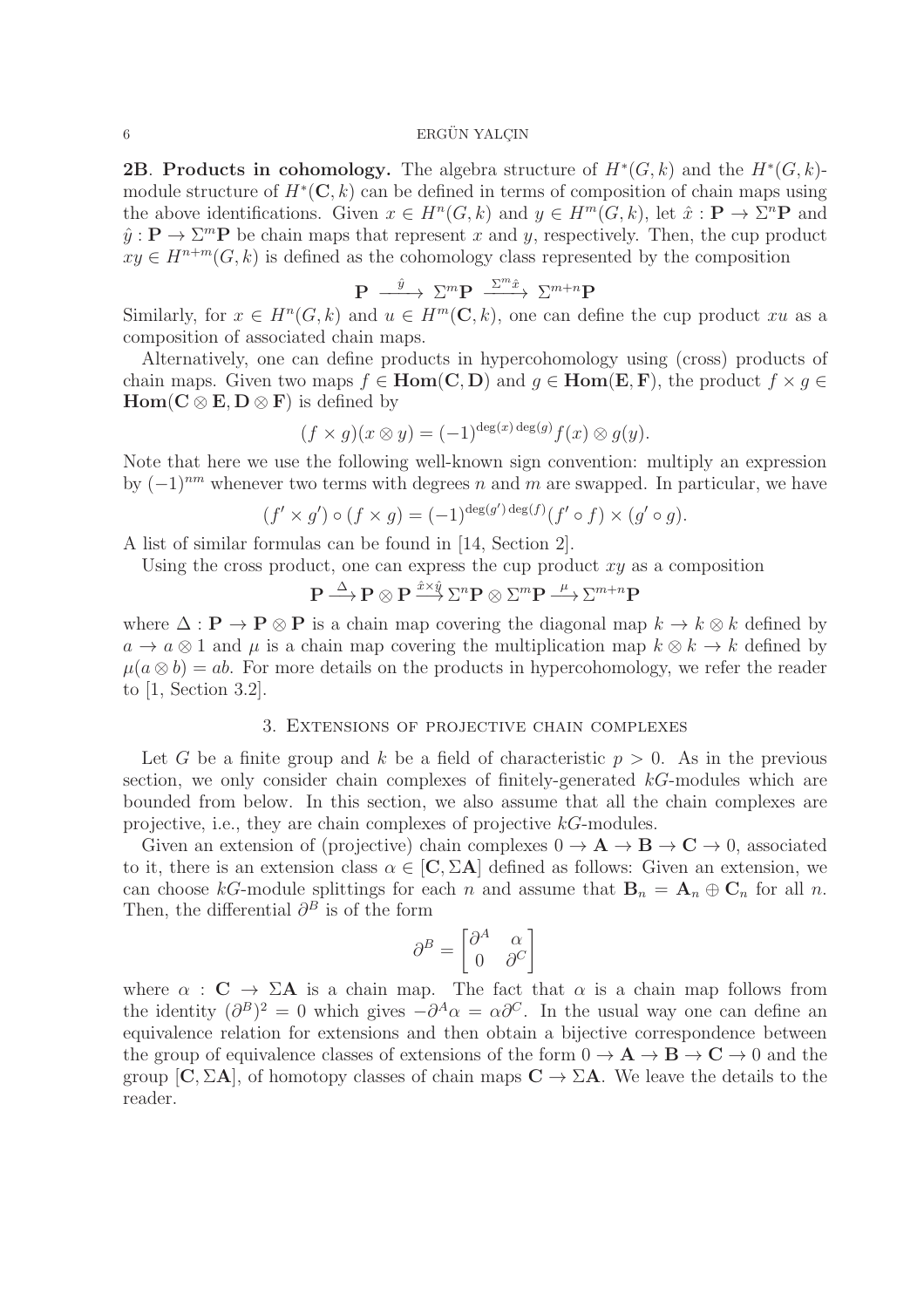**2B.** Products in cohomology. The algebra structure of  $H^*(G,k)$  and the  $H^*(G,k)$ module structure of  $H^*(\mathbb{C}, k)$  can be defined in terms of composition of chain maps using the above identifications. Given  $x \in H^n(G,k)$  and  $y \in H^m(G,k)$ , let  $\hat{x} : \mathbf{P} \to \Sigma^n \mathbf{P}$  and  $\hat{y}: \mathbf{P} \to \Sigma^m \mathbf{P}$  be chain maps that represent x and y, respectively. Then, the cup product  $xy \in H^{n+m}(G, k)$  is defined as the cohomology class represented by the composition

$$
\mathbf{P} \xrightarrow{\hat{y}} \Sigma^m \mathbf{P} \xrightarrow{\Sigma^m \hat{x}} \Sigma^{m+n} \mathbf{P}
$$

Similarly, for  $x \in H^n(G, k)$  and  $u \in H^m(\mathbb{C}, k)$ , one can define the cup product xu as a composition of associated chain maps.

Alternatively, one can define products in hypercohomology using (cross) products of chain maps. Given two maps  $f \in Hom(C, D)$  and  $g \in Hom(E, F)$ , the product  $f \times g \in$  $\text{Hom}(C \otimes E, D \otimes F)$  is defined by

$$
(f \times g)(x \otimes y) = (-1)^{\deg(x) \deg(g)} f(x) \otimes g(y).
$$

Note that here we use the following well-known sign convention: multiply an expression by  $(-1)^{nm}$  whenever two terms with degrees n and m are swapped. In particular, we have

$$
(f'\times g')\circ (f\times g)=(-1)^{\deg(g')\deg(f)}(f'\circ f)\times (g'\circ g).
$$

A list of similar formulas can be found in [14, Section 2].

Using the cross product, one can express the cup product  $xy$  as a composition

$$
\mathbf{P} \stackrel{\Delta}{\longrightarrow} \mathbf{P} \otimes \mathbf{P} \stackrel{\hat{x} \times \hat{y}}{\longrightarrow} \Sigma^n \mathbf{P} \otimes \Sigma^m \mathbf{P} \stackrel{\mu}{\longrightarrow} \Sigma^{m+n} \mathbf{P}
$$

where  $\Delta : \mathbf{P} \to \mathbf{P} \otimes \mathbf{P}$  is a chain map covering the diagonal map  $k \to k \otimes k$  defined by  $a \to a \otimes 1$  and  $\mu$  is a chain map covering the multiplication map  $k \otimes k \to k$  defined by  $\mu(a \otimes b) = ab$ . For more details on the products in hypercohomology, we refer the reader to [1, Section 3.2].

# 3. Extensions of projective chain complexes

Let G be a finite group and k be a field of characteristic  $p > 0$ . As in the previous section, we only consider chain complexes of finitely-generated kG-modules which are bounded from below. In this section, we also assume that all the chain complexes are projective, i.e., they are chain complexes of projective kG-modules.

Given an extension of (projective) chain complexes  $0 \to \mathbf{A} \to \mathbf{B} \to \mathbf{C} \to 0$ , associated to it, there is an extension class  $\alpha \in [C, \Sigma A]$  defined as follows: Given an extension, we can choose kG-module splittings for each n and assume that  $B_n = A_n \oplus C_n$  for all n. Then, the differential  $\partial^B$  is of the form

$$
\partial^B = \begin{bmatrix} \partial^A & \alpha \\ 0 & \partial^C \end{bmatrix}
$$

where  $\alpha : \mathbf{C} \to \Sigma \mathbf{A}$  is a chain map. The fact that  $\alpha$  is a chain map follows from the identity  $(\partial^B)^2 = 0$  which gives  $-\partial^A \alpha = \alpha \partial^C$ . In the usual way one can define an equivalence relation for extensions and then obtain a bijective correspondence between the group of equivalence classes of extensions of the form  $0 \to \mathbf{A} \to \mathbf{B} \to \mathbf{C} \to 0$  and the group  $[C, \Sigma A]$ , of homotopy classes of chain maps  $C \to \Sigma A$ . We leave the details to the reader.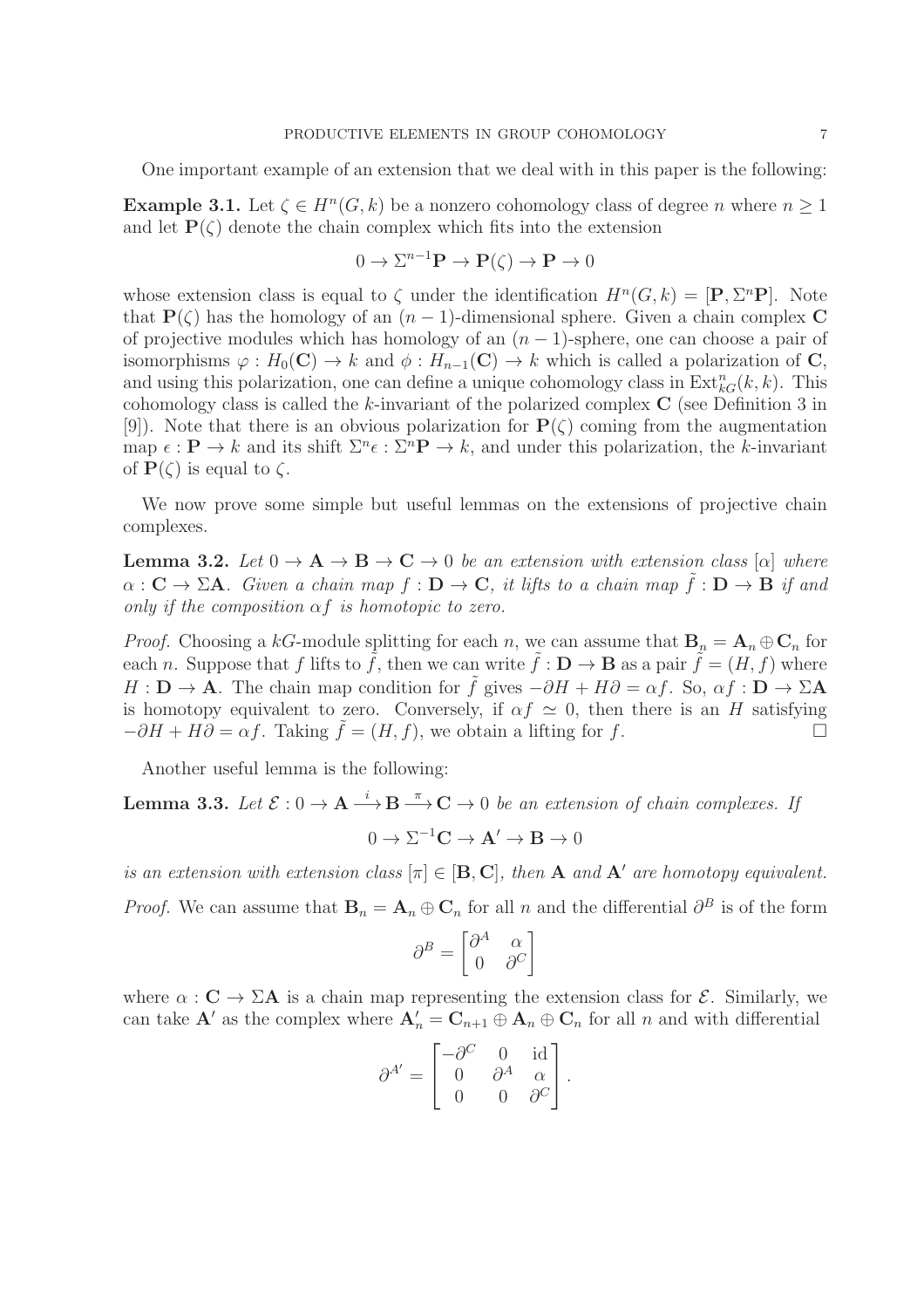One important example of an extension that we deal with in this paper is the following:

**Example 3.1.** Let  $\zeta \in H^n(G, k)$  be a nonzero cohomology class of degree n where  $n \geq 1$ and let  $P(\zeta)$  denote the chain complex which fits into the extension

$$
0 \to \Sigma^{n-1} \mathbf{P} \to \mathbf{P}(\zeta) \to \mathbf{P} \to 0
$$

whose extension class is equal to  $\zeta$  under the identification  $H^n(G,k) = [\mathbf{P}, \Sigma^n \mathbf{P}]$ . Note that  $P(\zeta)$  has the homology of an  $(n-1)$ -dimensional sphere. Given a chain complex C of projective modules which has homology of an  $(n-1)$ -sphere, one can choose a pair of isomorphisms  $\varphi : H_0(\mathbf{C}) \to k$  and  $\phi : H_{n-1}(\mathbf{C}) \to k$  which is called a polarization of **C**, and using this polarization, one can define a unique cohomology class in  $\text{Ext}_{kG}^{n}(k, k)$ . This cohomology class is called the k-invariant of the polarized complex  $C$  (see Definition 3 in [9]). Note that there is an obvious polarization for  $P(\zeta)$  coming from the augmentation map  $\epsilon : \mathbf{P} \to k$  and its shift  $\Sigma^n \epsilon : \Sigma^n \mathbf{P} \to k$ , and under this polarization, the k-invariant of  $P(\zeta)$  is equal to  $\zeta$ .

We now prove some simple but useful lemmas on the extensions of projective chain complexes.

**Lemma 3.2.** *Let*  $0 \to A \to B \to C \to 0$  *be an extension with extension class* [ $\alpha$ ] *where*  $\alpha : \mathbf{C} \to \Sigma \mathbf{A}$ *. Given a chain map*  $f : \mathbf{D} \to \mathbf{C}$ *, it lifts to a chain map*  $\tilde{f} : \mathbf{D} \to \mathbf{B}$  *if and only if the composition* αf *is homotopic to zero.*

*Proof.* Choosing a kG-module splitting for each n, we can assume that  $\mathbf{B}_n = \mathbf{A}_n \oplus \mathbf{C}_n$  for each n. Suppose that f lifts to  $\tilde{f}$ , then we can write  $\tilde{f} : \mathbf{D} \to \mathbf{B}$  as a pair  $\tilde{f} = (H, f)$  where  $H: \mathbf{D} \to \mathbf{A}$ . The chain map condition for  $\tilde{f}$  gives  $-\partial H + H\partial = \alpha f$ . So,  $\alpha f: \mathbf{D} \to \Sigma \mathbf{A}$ is homotopy equivalent to zero. Conversely, if  $\alpha f \simeq 0$ , then there is an H satisfying  $-\partial H + H\partial = \alpha f$ . Taking  $f = (H, f)$ , we obtain a lifting for f.

Another useful lemma is the following:

**Lemma 3.3.** Let  $\mathcal{E}: 0 \to \mathbf{A} \stackrel{i}{\longrightarrow} \mathbf{B} \stackrel{\pi}{\longrightarrow} \mathbf{C} \to 0$  be an extension of chain complexes. If

$$
0 \to \Sigma^{-1} \mathbf{C} \to \mathbf{A}' \to \mathbf{B} \to 0
$$

*is an extension with extension class*  $[\pi] \in [\mathbf{B}, \mathbf{C}]$ , then **A** *and* **A'** *are homotopy equivalent. Proof.* We can assume that  $\mathbf{B}_n = \mathbf{A}_n \oplus \mathbf{C}_n$  for all n and the differential  $\partial^B$  is of the form

$$
\partial^B = \begin{bmatrix} \partial^A & \alpha \\ 0 & \partial^C \end{bmatrix}
$$

where  $\alpha : \mathbf{C} \to \Sigma \mathbf{A}$  is a chain map representing the extension class for  $\mathcal{E}$ . Similarly, we can take  $\mathbf{A}'$  as the complex where  $\mathbf{A}'_n = \mathbf{C}_{n+1} \oplus \mathbf{A}_n \oplus \mathbf{C}_n$  for all n and with differential

$$
\partial^{A'} = \begin{bmatrix} -\partial^C & 0 & \text{id} \\ 0 & \partial^A & \alpha \\ 0 & 0 & \partial^C \end{bmatrix}.
$$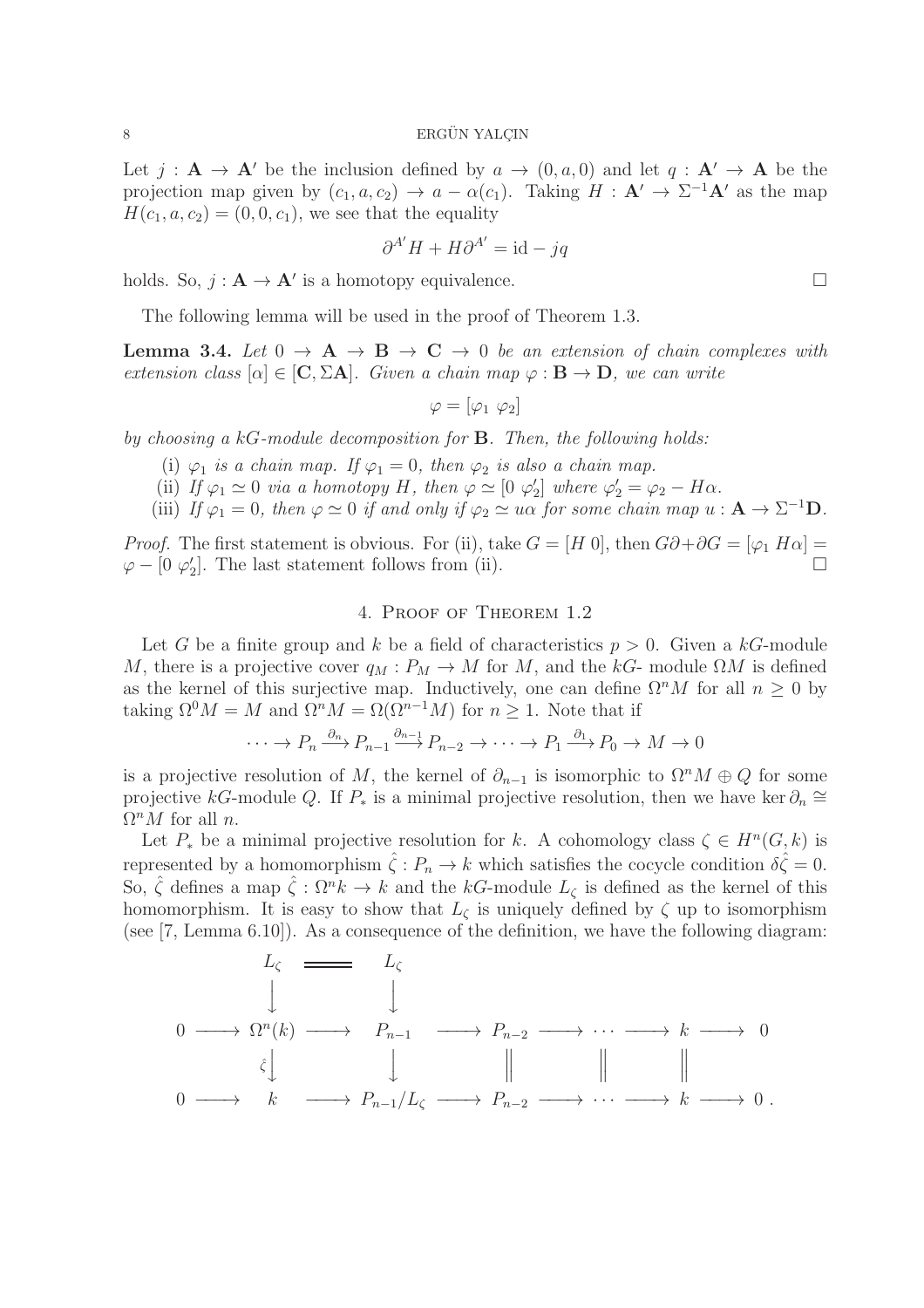Let  $j : A \to A'$  be the inclusion defined by  $a \to (0, a, 0)$  and let  $q : A' \to A$  be the projection map given by  $(c_1, a, c_2) \to a - \alpha(c_1)$ . Taking  $H : A' \to \Sigma^{-1}A'$  as the map  $H(c_1, a, c_2) = (0, 0, c_1)$ , we see that the equality

$$
\partial^{A'} H + H \partial^{A'} = \mathrm{id} - jq
$$

holds. So,  $j: \mathbf{A} \to \mathbf{A}'$  is a homotopy equivalence.

The following lemma will be used in the proof of Theorem 1.3.

**Lemma 3.4.** Let  $0 \rightarrow A \rightarrow B \rightarrow C \rightarrow 0$  be an extension of chain complexes with *extension class*  $[\alpha] \in [C, \Sigma A]$ *. Given a chain map*  $\varphi : B \to D$ *, we can write* 

$$
\varphi = [\varphi_1 \ \varphi_2]
$$

*by choosing a* kG*-module decomposition for* B*. Then, the following holds:*

- (i)  $\varphi_1$  *is a chain map.* If  $\varphi_1 = 0$ *, then*  $\varphi_2$  *is also a chain map.*
- (ii) *If*  $\varphi_1 \simeq 0$  *via a homotopy H, then*  $\varphi \simeq [0, \varphi_2]$  $\varphi_2'$  where  $\varphi_2' = \varphi_2 - H\alpha$ .
- (iii) *If*  $\varphi_1 = 0$ *, then*  $\varphi \simeq 0$  *if and only if*  $\varphi_2 \simeq u\alpha$  *for some chain map*  $u : \mathbf{A} \to \Sigma^{-1} \mathbf{D}$ *.*

*Proof.* The first statement is obvious. For (ii), take  $G = [H\ 0]$ , then  $G\partial + \partial G = [\varphi_1 H\alpha] =$  $\varphi - [0 \; \varphi'_2]$  $\mathcal{L}_2$ . The last statement follows from (ii).

#### 4. Proof of Theorem 1.2

Let G be a finite group and k be a field of characteristics  $p > 0$ . Given a kG-module M, there is a projective cover  $q_M : P_M \to M$  for M, and the kG- module  $\Omega M$  is defined as the kernel of this surjective map. Inductively, one can define  $\Omega^n M$  for all  $n \geq 0$  by taking  $\Omega^0 M = M$  and  $\Omega^n M = \Omega(\Omega^{n-1} M)$  for  $n \geq 1$ . Note that if

$$
\cdots \to P_n \xrightarrow{\partial_n} P_{n-1} \xrightarrow{\partial_{n-1}} P_{n-2} \to \cdots \to P_1 \xrightarrow{\partial_1} P_0 \to M \to 0
$$

is a projective resolution of M, the kernel of  $\partial_{n-1}$  is isomorphic to  $\Omega^n M \oplus Q$  for some projective kG-module Q. If  $P_*$  is a minimal projective resolution, then we have ker  $\partial_n \cong$  $\Omega^n M$  for all *n*.

Let  $P_*$  be a minimal projective resolution for k. A cohomology class  $\zeta \in H^n(G, k)$  is represented by a homomorphism  $\hat{\zeta}: P_n \to k$  which satisfies the cocycle condition  $\delta \hat{\zeta} = 0$ . So,  $\hat{\zeta}$  defines a map  $\hat{\zeta}: \Omega^n k \to k$  and the kG-module  $L_{\zeta}$  is defined as the kernel of this homomorphism. It is easy to show that  $L_{\zeta}$  is uniquely defined by  $\zeta$  up to isomorphism (see [7, Lemma 6.10]). As a consequence of the definition, we have the following diagram:

$$
L_{\zeta} \longrightarrow L_{\zeta}
$$
\n
$$
\downarrow \qquad \qquad L_{\zeta}
$$
\n
$$
0 \longrightarrow \Omega^{n}(k) \longrightarrow P_{n-1} \longrightarrow P_{n-2} \longrightarrow \cdots \longrightarrow k \longrightarrow 0
$$
\n
$$
\hat{\zeta} \downarrow \qquad \qquad \qquad \parallel \qquad \qquad \parallel \qquad \qquad \parallel
$$
\n
$$
0 \longrightarrow k \longrightarrow P_{n-1}/L_{\zeta} \longrightarrow P_{n-2} \longrightarrow \cdots \longrightarrow k \longrightarrow 0.
$$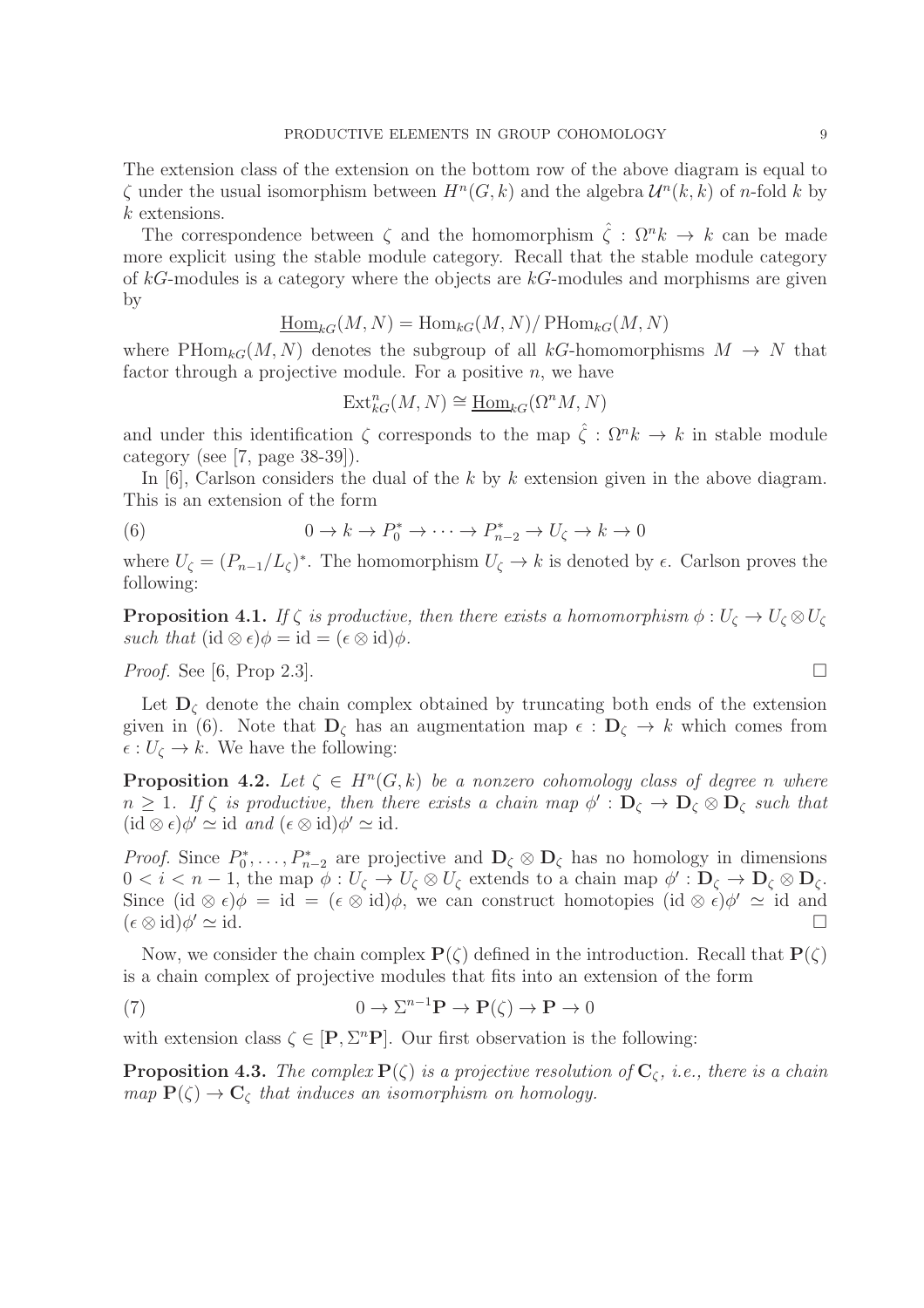The extension class of the extension on the bottom row of the above diagram is equal to  $\zeta$  under the usual isomorphism between  $H^n(G, k)$  and the algebra  $\mathcal{U}^n(k, k)$  of n-fold k by  $k$  extensions.

The correspondence between  $\zeta$  and the homomorphism  $\hat{\zeta}$  :  $\Omega^n k \to k$  can be made more explicit using the stable module category. Recall that the stable module category of  $kG$ -modules is a category where the objects are  $kG$ -modules and morphisms are given by

$$
\underline{\operatorname{Hom}}_{kG}(M, N) = \operatorname{Hom}_{kG}(M, N) / \operatorname{PHom}_{kG}(M, N)
$$

where  $\text{PHom}_{kG}(M, N)$  denotes the subgroup of all kG-homomorphisms  $M \to N$  that factor through a projective module. For a positive  $n$ , we have

$$
\text{Ext}^n_{kG}(M,N) \cong \underline{\text{Hom}}_{kG}(\Omega^n M, N)
$$

and under this identification  $\zeta$  corresponds to the map  $\hat{\zeta}: \Omega^n k \to k$  in stable module category (see [7, page 38-39]).

In  $[6]$ , Carlson considers the dual of the k by k extension given in the above diagram. This is an extension of the form

(6) 
$$
0 \to k \to P_0^* \to \cdots \to P_{n-2}^* \to U_{\zeta} \to k \to 0
$$

where  $U_{\zeta} = (P_{n-1}/L_{\zeta})^*$ . The homomorphism  $U_{\zeta} \to k$  is denoted by  $\epsilon$ . Carlson proves the following:

**Proposition 4.1.** *If*  $\zeta$  *is productive, then there exists a homomorphism*  $\phi: U_{\zeta} \to U_{\zeta} \otimes U_{\zeta}$ *such that*  $(id \otimes \epsilon)\phi = id = (\epsilon \otimes id)\phi$ .

*Proof.* See [6, Prop 2.3].

Let  $D_{\zeta}$  denote the chain complex obtained by truncating both ends of the extension given in (6). Note that  $\mathbf{D}_{\zeta}$  has an augmentation map  $\epsilon : \mathbf{D}_{\zeta} \to k$  which comes from  $\epsilon: U_{\zeta} \to k$ . We have the following:

**Proposition 4.2.** Let  $\zeta \in H^n(G,k)$  be a nonzero cohomology class of degree n where  $n \geq 1$ . If  $\zeta$  is productive, then there exists a chain map  $\phi' : D_{\zeta} \to D_{\zeta} \otimes D_{\zeta}$  such that  $(id \otimes \epsilon)\phi' \simeq id$  *and*  $(\epsilon \otimes id)\phi' \simeq id$ *.* 

*Proof.* Since  $P_0^*$  $D_0^*, \ldots, P_{n-2}^*$  are projective and  $\mathbf{D}_{\zeta} \otimes \mathbf{D}_{\zeta}$  has no homology in dimensions  $0 < i < n-1$ , the map  $\phi : U_{\zeta} \to U_{\zeta} \otimes U_{\zeta}$  extends to a chain map  $\phi' : D_{\zeta} \to D_{\zeta} \otimes D_{\zeta}$ . Since  $(id \otimes \epsilon)\phi = id = (\epsilon \otimes id)\phi$ , we can construct homotopies  $(id \otimes \epsilon)\phi' \simeq id$  and  $(\epsilon \otimes id)\phi' \simeq id.$  $\prime \simeq$  id.

Now, we consider the chain complex  $P(\zeta)$  defined in the introduction. Recall that  $P(\zeta)$ is a chain complex of projective modules that fits into an extension of the form

(7) 
$$
0 \to \Sigma^{n-1} \mathbf{P} \to \mathbf{P}(\zeta) \to \mathbf{P} \to 0
$$

with extension class  $\zeta \in [P, \Sigma^n P]$ . Our first observation is the following:

**Proposition 4.3.** *The complex*  $P(\zeta)$  *is a projective resolution of*  $C_{\zeta}$ *, i.e., there is a chain map*  $P(\zeta) \rightarrow C_{\zeta}$  *that induces an isomorphism on homology.* 

$$
\Box
$$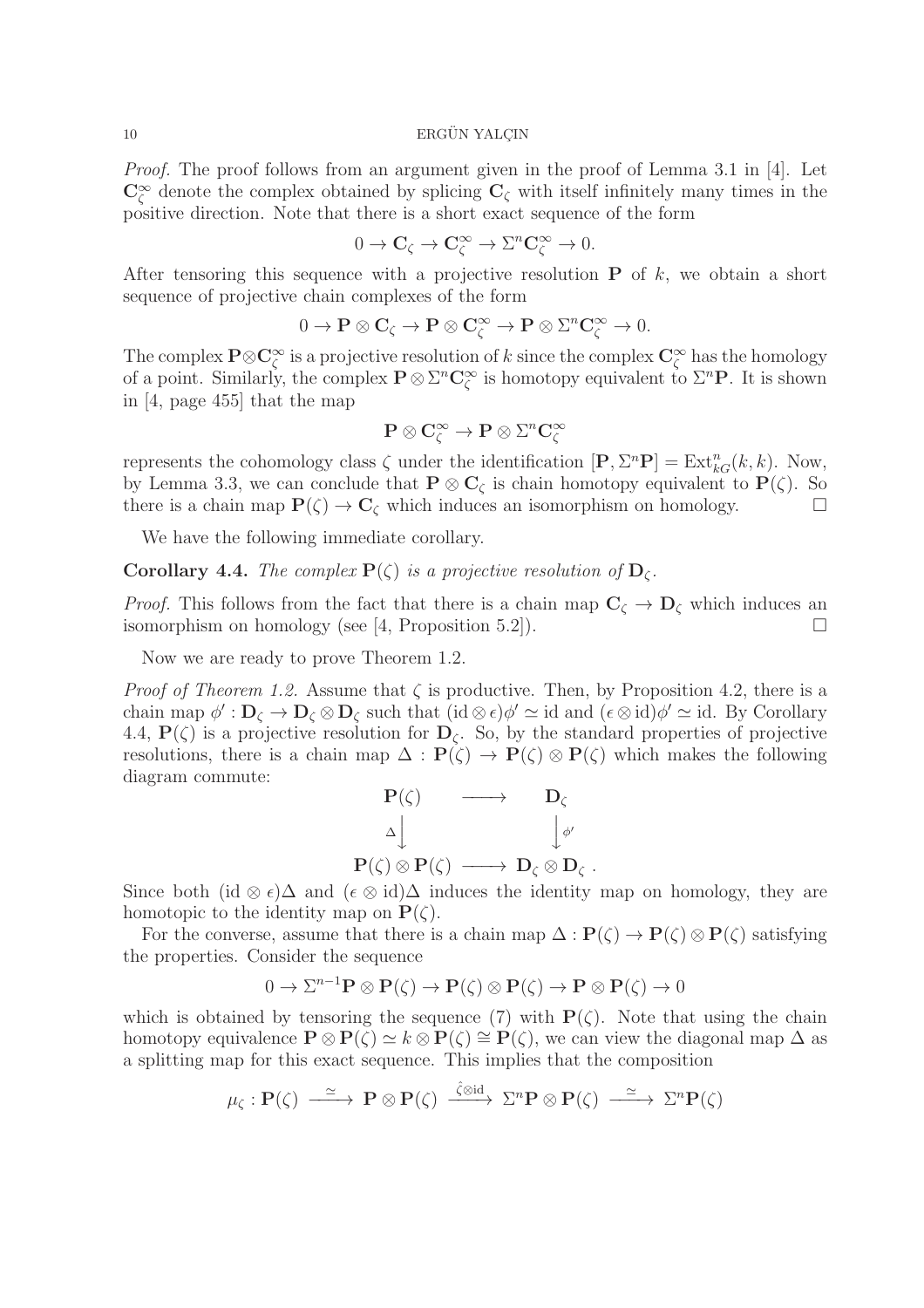*Proof.* The proof follows from an argument given in the proof of Lemma 3.1 in [4]. Let  $\mathbb{C}_{\zeta}^{\infty}$  denote the complex obtained by splicing  $\mathbb{C}_{\zeta}$  with itself infinitely many times in the positive direction. Note that there is a short exact sequence of the form

$$
0 \to \mathbf{C}_{\zeta} \to \mathbf{C}_{\zeta}^{\infty} \to \Sigma^{n} \mathbf{C}_{\zeta}^{\infty} \to 0.
$$

After tensoring this sequence with a projective resolution  $P$  of k, we obtain a short sequence of projective chain complexes of the form

$$
0 \to \mathbf{P} \otimes \mathbf{C}_{\zeta} \to \mathbf{P} \otimes \mathbf{C}_{\zeta}^{\infty} \to \mathbf{P} \otimes \Sigma^{n} \mathbf{C}_{\zeta}^{\infty} \to 0.
$$

The complex  $\mathbf{P} \otimes \mathbf{C}^\infty_\zeta$  is a projective resolution of k since the complex  $\mathbf{C}^\infty_\zeta$  has the homology of a point. Similarly, the complex  $P \otimes \Sigma^n C_{\zeta}^{\infty}$  is homotopy equivalent to  $\Sigma^n P$ . It is shown in [4, page 455] that the map

$$
P\otimes C^\infty_\zeta\to P\otimes \Sigma^n C^\infty_\zeta
$$

represents the cohomology class  $\zeta$  under the identification  $[\mathbf{P}, \Sigma^n \mathbf{P}] = \text{Ext}_{kG}^n(k, k)$ . Now, by Lemma 3.3, we can conclude that  $P \otimes C_{\zeta}$  is chain homotopy equivalent to  $P(\zeta)$ . So there is a chain map  $P(\zeta) \to C_{\zeta}$  which induces an isomorphism on homology.

We have the following immediate corollary.

**Corollary 4.4.** *The complex*  $P(\zeta)$  *is a projective resolution of*  $D_{\zeta}$ *.* 

*Proof.* This follows from the fact that there is a chain map  $C_{\zeta} \to D_{\zeta}$  which induces an isomorphism on homology (see [4, Proposition 5.2]).  $\Box$ 

Now we are ready to prove Theorem 1.2.

*Proof of Theorem 1.2.* Assume that  $\zeta$  is productive. Then, by Proposition 4.2, there is a chain map  $\phi': \mathbf{D}_{\zeta} \to \mathbf{D}_{\zeta} \otimes \mathbf{D}_{\zeta}$  such that  $(\mathrm{id} \otimes \epsilon)\phi' \simeq \mathrm{id}$  and  $(\epsilon \otimes \mathrm{id})\phi' \simeq \mathrm{id}$ . By Corollary 4.4,  $P(\zeta)$  is a projective resolution for  $D_{\zeta}$ . So, by the standard properties of projective resolutions, there is a chain map  $\Delta : P(\zeta) \to P(\zeta) \otimes P(\zeta)$  which makes the following diagram commute:

$$
\begin{array}{ccc}\n\mathbf{P}(\zeta) & \longrightarrow & \mathbf{D}_{\zeta} \\
\upDelta \downarrow & & \downarrow_{\phi'} \\
\mathbf{P}(\zeta) \otimes \mathbf{P}(\zeta) & \longrightarrow & \mathbf{D}_{\zeta} \otimes \mathbf{D}_{\zeta} \ .\n\end{array}
$$

Since both (id ⊗  $\epsilon$ ) $\Delta$  and ( $\epsilon \otimes id$ ) $\Delta$  induces the identity map on homology, they are homotopic to the identity map on  $\mathbf{P}(\zeta)$ .

For the converse, assume that there is a chain map  $\Delta: \mathbf{P}(\zeta) \to \mathbf{P}(\zeta) \otimes \mathbf{P}(\zeta)$  satisfying the properties. Consider the sequence

$$
0 \to \Sigma^{n-1} \mathbf{P} \otimes \mathbf{P}(\zeta) \to \mathbf{P}(\zeta) \otimes \mathbf{P}(\zeta) \to \mathbf{P} \otimes \mathbf{P}(\zeta) \to 0
$$

which is obtained by tensoring the sequence (7) with  $P(\zeta)$ . Note that using the chain homotopy equivalence  $\mathbf{P} \otimes \mathbf{P}(\zeta) \simeq k \otimes \mathbf{P}(\zeta) \cong \mathbf{P}(\zeta)$ , we can view the diagonal map  $\Delta$  as a splitting map for this exact sequence. This implies that the composition

$$
\mu_{\zeta}: \mathbf{P}(\zeta) \xrightarrow{\simeq} \mathbf{P} \otimes \mathbf{P}(\zeta) \xrightarrow{\hat{\zeta} \otimes \mathrm{id}} \Sigma^{n} \mathbf{P} \otimes \mathbf{P}(\zeta) \xrightarrow{\simeq} \Sigma^{n} \mathbf{P}(\zeta)
$$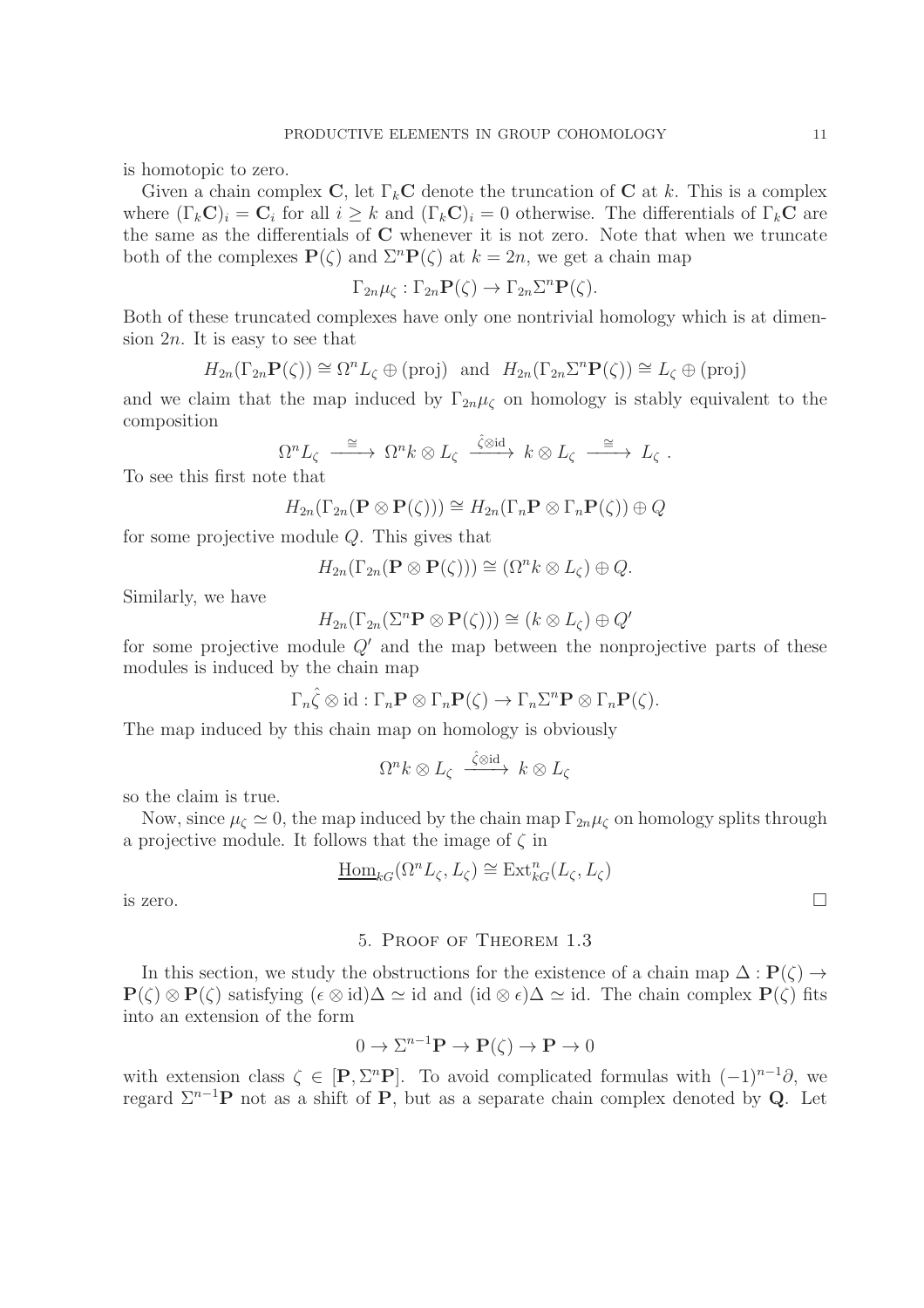is homotopic to zero.

Given a chain complex C, let  $\Gamma_k$ C denote the truncation of C at k. This is a complex where  $(\Gamma_k \mathbf{C})_i = \mathbf{C}_i$  for all  $i \geq k$  and  $(\Gamma_k \mathbf{C})_i = 0$  otherwise. The differentials of  $\Gamma_k \mathbf{C}$  are the same as the differentials of C whenever it is not zero. Note that when we truncate both of the complexes  $P(\zeta)$  and  $\Sigma^n P(\zeta)$  at  $k = 2n$ , we get a chain map

$$
\Gamma_{2n}\mu_{\zeta} : \Gamma_{2n}\mathbf{P}(\zeta) \to \Gamma_{2n}\Sigma^{n}\mathbf{P}(\zeta).
$$

Both of these truncated complexes have only one nontrivial homology which is at dimension  $2n$ . It is easy to see that

$$
H_{2n}(\Gamma_{2n}\mathbf{P}(\zeta)) \cong \Omega^n L_{\zeta} \oplus (\text{proj}) \text{ and } H_{2n}(\Gamma_{2n} \Sigma^n \mathbf{P}(\zeta)) \cong L_{\zeta} \oplus (\text{proj})
$$

and we claim that the map induced by  $\Gamma_{2n}\mu_{\zeta}$  on homology is stably equivalent to the composition

$$
\Omega^n L_{\zeta} \stackrel{\cong}{\longrightarrow} \Omega^n k \otimes L_{\zeta} \stackrel{\hat{\zeta} \otimes \mathrm{id}}{\longrightarrow} k \otimes L_{\zeta} \stackrel{\cong}{\longrightarrow} L_{\zeta} .
$$

To see this first note that

$$
H_{2n}(\Gamma_{2n}(\mathbf{P} \otimes \mathbf{P}(\zeta))) \cong H_{2n}(\Gamma_n \mathbf{P} \otimes \Gamma_n \mathbf{P}(\zeta)) \oplus Q
$$

for some projective module Q. This gives that

$$
H_{2n}(\Gamma_{2n}(\mathbf{P} \otimes \mathbf{P}(\zeta))) \cong (\Omega^n k \otimes L_{\zeta}) \oplus Q.
$$

Similarly, we have

$$
H_{2n}(\Gamma_{2n}(\Sigma^n \mathbf{P} \otimes \mathbf{P}(\zeta))) \cong (k \otimes L_{\zeta}) \oplus Q'
$$

for some projective module  $Q'$  and the map between the nonprojective parts of these modules is induced by the chain map

$$
\Gamma_n \hat{\zeta} \otimes id : \Gamma_n \mathbf{P} \otimes \Gamma_n \mathbf{P}(\zeta) \to \Gamma_n \Sigma^n \mathbf{P} \otimes \Gamma_n \mathbf{P}(\zeta).
$$

The map induced by this chain map on homology is obviously

$$
\Omega^n k \otimes L_{\zeta} \xrightarrow{\hat{\zeta} \otimes \mathrm{id}} k \otimes L_{\zeta}
$$

so the claim is true.

Now, since  $\mu_c \simeq 0$ , the map induced by the chain map  $\Gamma_{2n}\mu_c$  on homology splits through a projective module. It follows that the image of  $\zeta$  in

$$
\underline{\mathrm{Hom}}_{kG}(\Omega^n L_{\zeta}, L_{\zeta}) \cong \mathrm{Ext}^n_{kG}(L_{\zeta}, L_{\zeta})
$$

is zero.  $\Box$ 

# 5. Proof of Theorem 1.3

In this section, we study the obstructions for the existence of a chain map  $\Delta : \mathbf{P}(\zeta) \to$  $\mathbf{P}(\zeta) \otimes \mathbf{P}(\zeta)$  satisfying  $({\epsilon \otimes \mathrm{id}})\Delta \simeq \mathrm{id}$  and  $(\mathrm{id} \otimes {\epsilon})\Delta \simeq \mathrm{id}$ . The chain complex  $\mathbf{P}(\zeta)$  fits into an extension of the form

$$
0 \to \Sigma^{n-1} \mathbf{P} \to \mathbf{P}(\zeta) \to \mathbf{P} \to 0
$$

with extension class  $\zeta \in [P, \Sigma^n P]$ . To avoid complicated formulas with  $(-1)^{n-1}\partial$ , we regard  $\Sigma^{n-1}$ P not as a shift of P, but as a separate chain complex denoted by Q. Let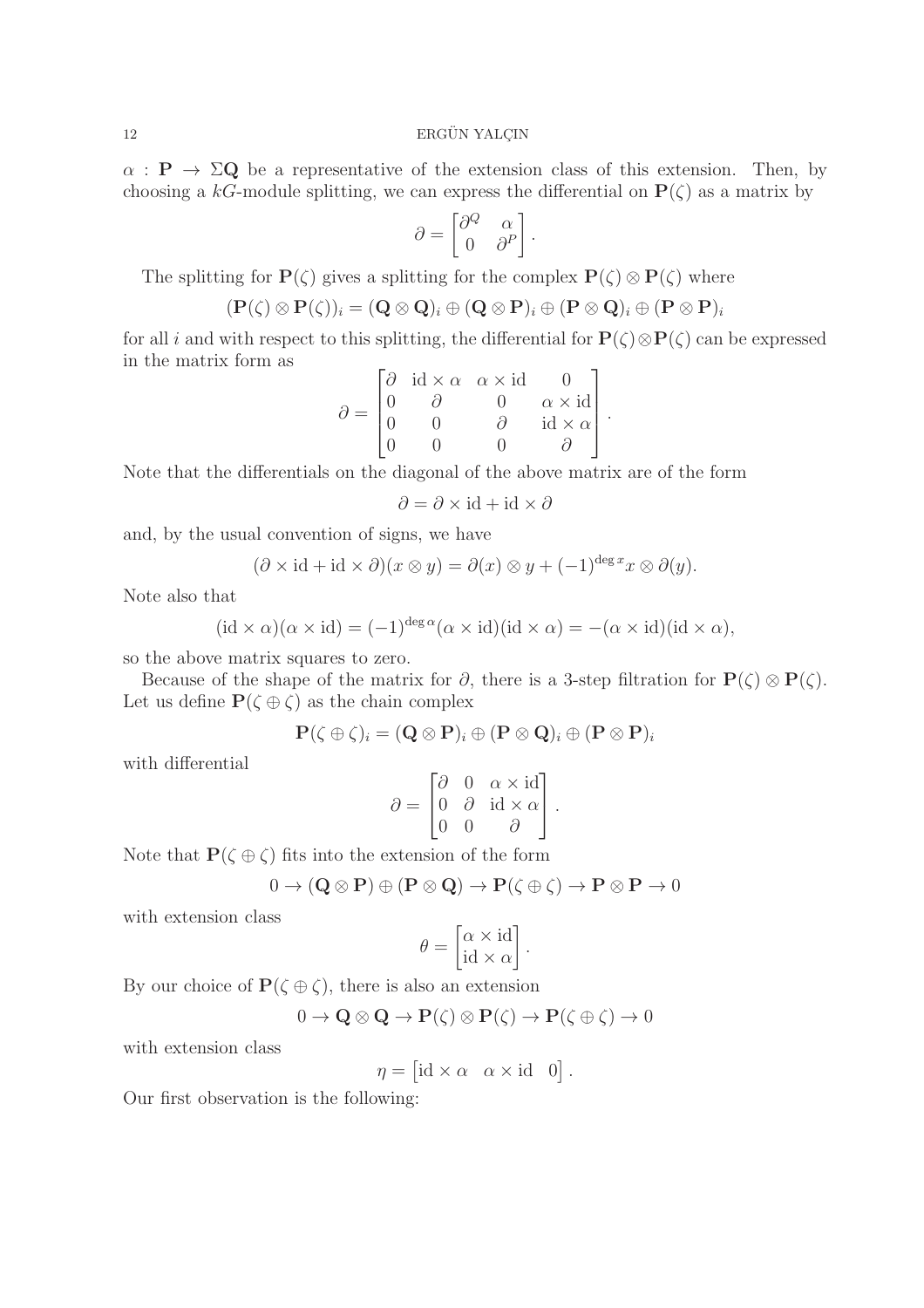$\alpha$ :  $P \rightarrow \Sigma Q$  be a representative of the extension class of this extension. Then, by choosing a kG-module splitting, we can express the differential on  $P(\zeta)$  as a matrix by

$$
\partial = \begin{bmatrix} \partial^Q & \alpha \\ 0 & \partial^P \end{bmatrix}.
$$

The splitting for  $P(\zeta)$  gives a splitting for the complex  $P(\zeta) \otimes P(\zeta)$  where

$$
(\mathbf{P}(\zeta) \otimes \mathbf{P}(\zeta))_i = (\mathbf{Q} \otimes \mathbf{Q})_i \oplus (\mathbf{Q} \otimes \mathbf{P})_i \oplus (\mathbf{P} \otimes \mathbf{Q})_i \oplus (\mathbf{P} \otimes \mathbf{P})_i
$$

for all i and with respect to this splitting, the differential for  $P(\zeta) \otimes P(\zeta)$  can be expressed in the matrix form as  $\overline{a}$ 

$$
\partial = \begin{bmatrix} \partial & \mathrm{id} \times \alpha & \alpha \times \mathrm{id} & 0 \\ 0 & \partial & 0 & \alpha \times \mathrm{id} \\ 0 & 0 & \partial & \mathrm{id} \times \alpha \\ 0 & 0 & 0 & \partial \end{bmatrix}.
$$

Note that the differentials on the diagonal of the above matrix are of the form

 $∂ = ∂ × id + id × ∂$ 

and, by the usual convention of signs, we have

$$
(\partial \times id + id \times \partial)(x \otimes y) = \partial(x) \otimes y + (-1)^{\deg x} x \otimes \partial(y).
$$

Note also that

$$
(\mathrm{id} \times \alpha)(\alpha \times \mathrm{id}) = (-1)^{\deg \alpha} (\alpha \times \mathrm{id})(\mathrm{id} \times \alpha) = -(\alpha \times \mathrm{id})(\mathrm{id} \times \alpha),
$$

so the above matrix squares to zero.

Because of the shape of the matrix for  $\partial$ , there is a 3-step filtration for  $P(\zeta) \otimes P(\zeta)$ . Let us define  $\mathbf{P}(\zeta \oplus \zeta)$  as the chain complex

$$
\mathbf{P}(\zeta\oplus\zeta)_i=(\mathbf{Q}\otimes\mathbf{P})_i\oplus(\mathbf{P}\otimes\mathbf{Q})_i\oplus(\mathbf{P}\otimes\mathbf{P})_i
$$

with differential

$$
\partial = \begin{bmatrix} \partial & 0 & \alpha \times \mathrm{id} \\ 0 & \partial & \mathrm{id} \times \alpha \\ 0 & 0 & \partial \end{bmatrix}.
$$

Note that  $P(\zeta \oplus \zeta)$  fits into the extension of the form

$$
0 \to (\mathbf{Q} \otimes \mathbf{P}) \oplus (\mathbf{P} \otimes \mathbf{Q}) \to \mathbf{P}(\zeta \oplus \zeta) \to \mathbf{P} \otimes \mathbf{P} \to 0
$$

with extension class

$$
\theta = \begin{bmatrix} \alpha \times \mathrm{id} \\ \mathrm{id} \times \alpha \end{bmatrix}.
$$

By our choice of  $\mathbf{P}(\zeta \oplus \zeta)$ , there is also an extension

$$
0\to \mathbf{Q}\otimes \mathbf{Q}\to \mathbf{P}(\zeta)\otimes \mathbf{P}(\zeta)\to \mathbf{P}(\zeta\oplus \zeta)\to 0
$$

with extension class

 $\eta = [\text{id} \times \alpha \quad \alpha \times \text{id} \quad 0].$ 

Our first observation is the following: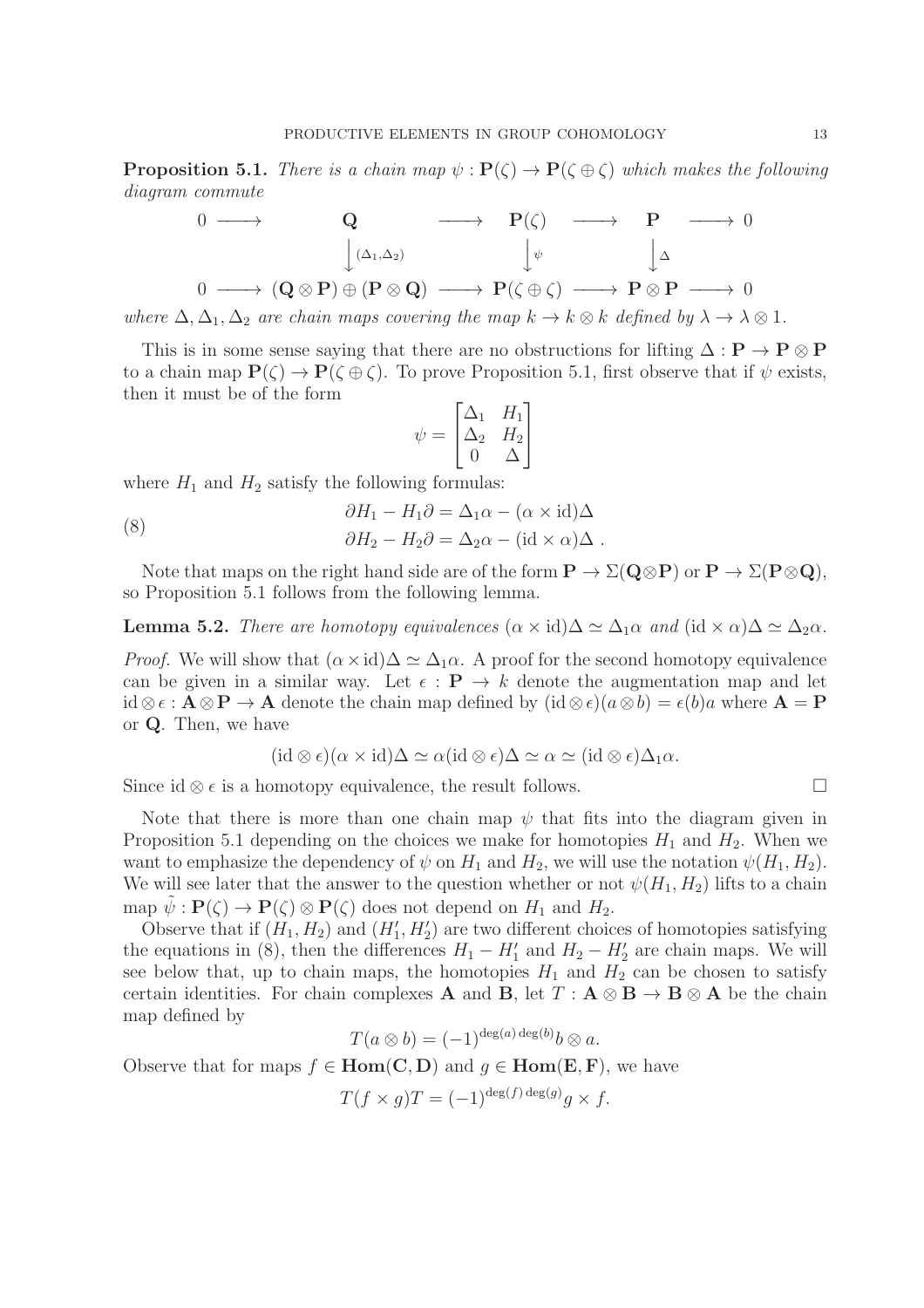**Proposition 5.1.** *There is a chain map*  $\psi$  :  $P(\zeta) \rightarrow P(\zeta \oplus \zeta)$  *which makes the following diagram commute*

$$
\begin{array}{ccccccc}\n0 & \longrightarrow & \mathbf{Q} & \longrightarrow & \mathbf{P}(\zeta) & \longrightarrow & \mathbf{P} & \longrightarrow & 0 \\
 & & \downarrow^{(\Delta_1, \Delta_2)} & & \downarrow^{\psi} & & \downarrow^{\Delta} \\
0 & \longrightarrow & (\mathbf{Q} \otimes \mathbf{P}) \oplus (\mathbf{P} \otimes \mathbf{Q}) & \longrightarrow & \mathbf{P}(\zeta \oplus \zeta) & \longrightarrow & \mathbf{P} \otimes \mathbf{P} & \longrightarrow & 0\n\end{array}
$$

*where*  $\Delta, \Delta_1, \Delta_2$  *are chain maps covering the map*  $k \to k \otimes k$  *defined by*  $\lambda \to \lambda \otimes 1$ *.* 

This is in some sense saying that there are no obstructions for lifting  $\Delta : \mathbf{P} \to \mathbf{P} \otimes \mathbf{P}$ to a chain map  $P(\zeta) \to P(\zeta \oplus \zeta)$ . To prove Proposition 5.1, first observe that if  $\psi$  exists, then it must be of the form  $\overline{\phantom{a}}$ 

$$
\psi = \begin{bmatrix} \Delta_1 & H_1 \\ \Delta_2 & H_2 \\ 0 & \Delta \end{bmatrix}
$$

where  $H_1$  and  $H_2$  satisfy the following formulas:

(8) 
$$
\partial H_1 - H_1 \partial = \Delta_1 \alpha - (\alpha \times \text{id}) \Delta \n\partial H_2 - H_2 \partial = \Delta_2 \alpha - (\text{id} \times \alpha) \Delta.
$$

Note that maps on the right hand side are of the form  $P \to \Sigma(Q \otimes P)$  or  $P \to \Sigma(P \otimes Q)$ , so Proposition 5.1 follows from the following lemma.

**Lemma 5.2.** *There are homotopy equivalences*  $(\alpha \times id)\Delta \simeq \Delta_1 \alpha$  *and*  $(id \times \alpha)\Delta \simeq \Delta_2 \alpha$ *.* 

*Proof.* We will show that  $(\alpha \times id)\Delta \simeq \Delta_1 \alpha$ . A proof for the second homotopy equivalence can be given in a similar way. Let  $\epsilon : \mathbf{P} \to k$  denote the augmentation map and let id ⊗ $\epsilon$ :  $\mathbf{A} \otimes \mathbf{P} \to \mathbf{A}$  denote the chain map defined by  $(id \otimes \epsilon)(a \otimes b) = \epsilon(b)a$  where  $\mathbf{A} = \mathbf{P}$ or Q. Then, we have

$$
(\mathrm{id}\otimes\epsilon)(\alpha\times\mathrm{id})\Delta\simeq\alpha(\mathrm{id}\otimes\epsilon)\Delta\simeq\alpha\simeq(\mathrm{id}\otimes\epsilon)\Delta_1\alpha.
$$

Since id  $\otimes \epsilon$  is a homotopy equivalence, the result follows.

Note that there is more than one chain map  $\psi$  that fits into the diagram given in Proposition 5.1 depending on the choices we make for homotopies  $H_1$  and  $H_2$ . When we want to emphasize the dependency of  $\psi$  on  $H_1$  and  $H_2$ , we will use the notation  $\psi(H_1, H_2)$ . We will see later that the answer to the question whether or not  $\psi(H_1, H_2)$  lifts to a chain map  $\psi : \mathbf{P}(\zeta) \to \mathbf{P}(\zeta) \otimes \mathbf{P}(\zeta)$  does not depend on  $H_1$  and  $H_2$ .

Observe that if  $(H_1, H_2)$  and  $(H'_1, H'_2)$  are two different choices of homotopies satisfying the equations in (8), then the differences  $H_1 - H'_1$  and  $H_2 - H'_2$  are chain maps. We will see below that, up to chain maps, the homotopies  $H_1$  and  $H_2$  can be chosen to satisfy certain identities. For chain complexes **A** and **B**, let  $T : A \otimes B \to B \otimes A$  be the chain map defined by

$$
T(a \otimes b) = (-1)^{\deg(a) \deg(b)} b \otimes a.
$$

Observe that for maps  $f \in Hom(C, D)$  and  $g \in Hom(E, F)$ , we have

$$
T(f \times g)T = (-1)^{\deg(f) \deg(g)} g \times f.
$$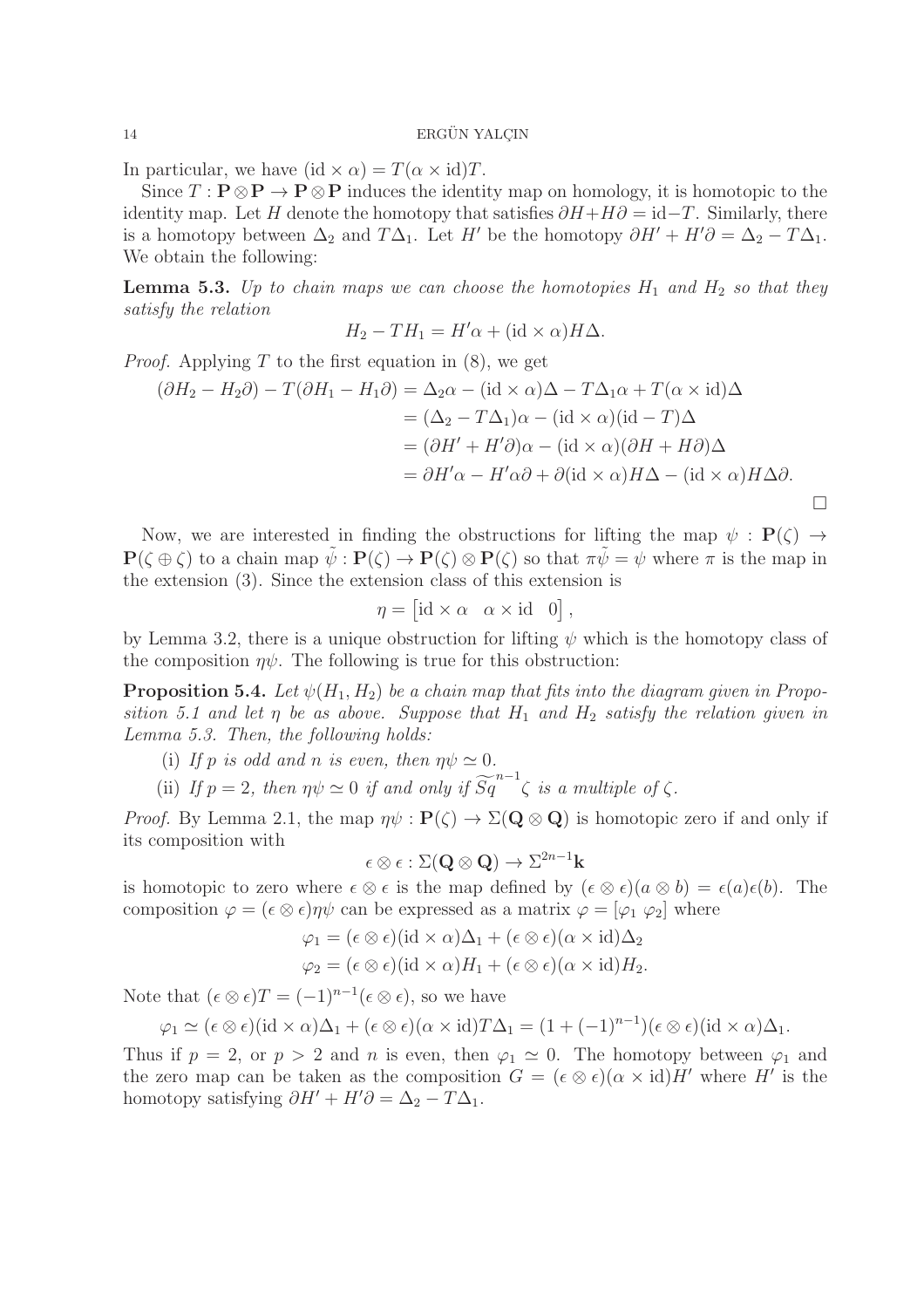In particular, we have  $(id \times \alpha) = T(\alpha \times id)T$ .

Since  $T : \mathbf{P} \otimes \mathbf{P} \to \mathbf{P} \otimes \mathbf{P}$  induces the identity map on homology, it is homotopic to the identity map. Let H denote the homotopy that satisfies  $\partial H + H\partial = id - T$ . Similarly, there is a homotopy between  $\Delta_2$  and  $T\Delta_1$ . Let H' be the homotopy  $\partial H' + H'\partial = \Delta_2 - T\Delta_1$ . We obtain the following:

**Lemma 5.3.** Up to chain maps we can choose the homotopies  $H_1$  and  $H_2$  so that they *satisfy the relation*

$$
H_2 - TH_1 = H'\alpha + (\mathrm{id} \times \alpha)H\Delta.
$$

*Proof.* Applying T to the first equation in  $(8)$ , we get

$$
(\partial H_2 - H_2 \partial) - T(\partial H_1 - H_1 \partial) = \Delta_2 \alpha - (\text{id} \times \alpha)\Delta - T\Delta_1 \alpha + T(\alpha \times \text{id})\Delta
$$
  

$$
= (\Delta_2 - T\Delta_1)\alpha - (\text{id} \times \alpha)(\text{id} - T)\Delta
$$
  

$$
= (\partial H' + H'\partial)\alpha - (\text{id} \times \alpha)(\partial H + H\partial)\Delta
$$
  

$$
= \partial H'\alpha - H'\alpha\partial + \partial(\text{id} \times \alpha)H\Delta - (\text{id} \times \alpha)H\Delta\partial.
$$

Now, we are interested in finding the obstructions for lifting the map  $\psi : P(\zeta) \rightarrow$  $P(\zeta \oplus \zeta)$  to a chain map  $\tilde{\psi}: P(\zeta) \to P(\zeta) \otimes P(\zeta)$  so that  $\pi \tilde{\psi} = \psi$  where  $\pi$  is the map in the extension (3). Since the extension class of this extension is

$$
\eta = [\mathrm{id} \times \alpha \quad \alpha \times \mathrm{id} \quad 0],
$$

by Lemma 3.2, there is a unique obstruction for lifting  $\psi$  which is the homotopy class of the composition  $\eta \psi$ . The following is true for this obstruction:

**Proposition 5.4.** Let  $\psi(H_1, H_2)$  be a chain map that fits into the diagram given in Propo*sition 5.1 and let*  $\eta$  *be as above. Suppose that*  $H_1$  *and*  $H_2$  *satisfy the relation given in Lemma 5.3. Then, the following holds:*

- (i) If p is odd and n is even, then  $\eta \psi \simeq 0$ .
- (ii) If  $p = 2$ , then  $\eta \psi \simeq 0$  if and only if  $\widetilde{Sq}^{n-1} \zeta$  is a multiple of  $\zeta$ .

*Proof.* By Lemma 2.1, the map  $\eta \psi : \mathbf{P}(\zeta) \to \Sigma(\mathbf{Q} \otimes \mathbf{Q})$  is homotopic zero if and only if its composition with

 $\epsilon\otimes\epsilon:\Sigma(\mathbf{Q}\otimes\mathbf{Q})\to\Sigma^{2n-1}\mathbf{k}$ 

is homotopic to zero where  $\epsilon \otimes \epsilon$  is the map defined by  $(\epsilon \otimes \epsilon)(a \otimes b) = \epsilon(a)\epsilon(b)$ . The composition  $\varphi = (\epsilon \otimes \epsilon) \eta \psi$  can be expressed as a matrix  $\varphi = [\varphi_1 \varphi_2]$  where

$$
\varphi_1 = (\epsilon \otimes \epsilon)(\mathrm{id} \times \alpha)\Delta_1 + (\epsilon \otimes \epsilon)(\alpha \times \mathrm{id})\Delta_2
$$
  

$$
\varphi_2 = (\epsilon \otimes \epsilon)(\mathrm{id} \times \alpha)H_1 + (\epsilon \otimes \epsilon)(\alpha \times \mathrm{id})H_2.
$$

Note that  $(\epsilon \otimes \epsilon)T = (-1)^{n-1}(\epsilon \otimes \epsilon)$ , so we have

$$
\varphi_1 \simeq (\epsilon \otimes \epsilon)(\mathrm{id} \times \alpha) \Delta_1 + (\epsilon \otimes \epsilon)(\alpha \times \mathrm{id}) T \Delta_1 = (1 + (-1)^{n-1})(\epsilon \otimes \epsilon)(\mathrm{id} \times \alpha) \Delta_1.
$$

Thus if  $p = 2$ , or  $p > 2$  and n is even, then  $\varphi_1 \simeq 0$ . The homotopy between  $\varphi_1$  and the zero map can be taken as the composition  $G = (\epsilon \otimes \epsilon)(\alpha \times id)H'$  where H' is the homotopy satisfying  $\partial H' + H'\partial = \Delta_2 - T\Delta_1$ .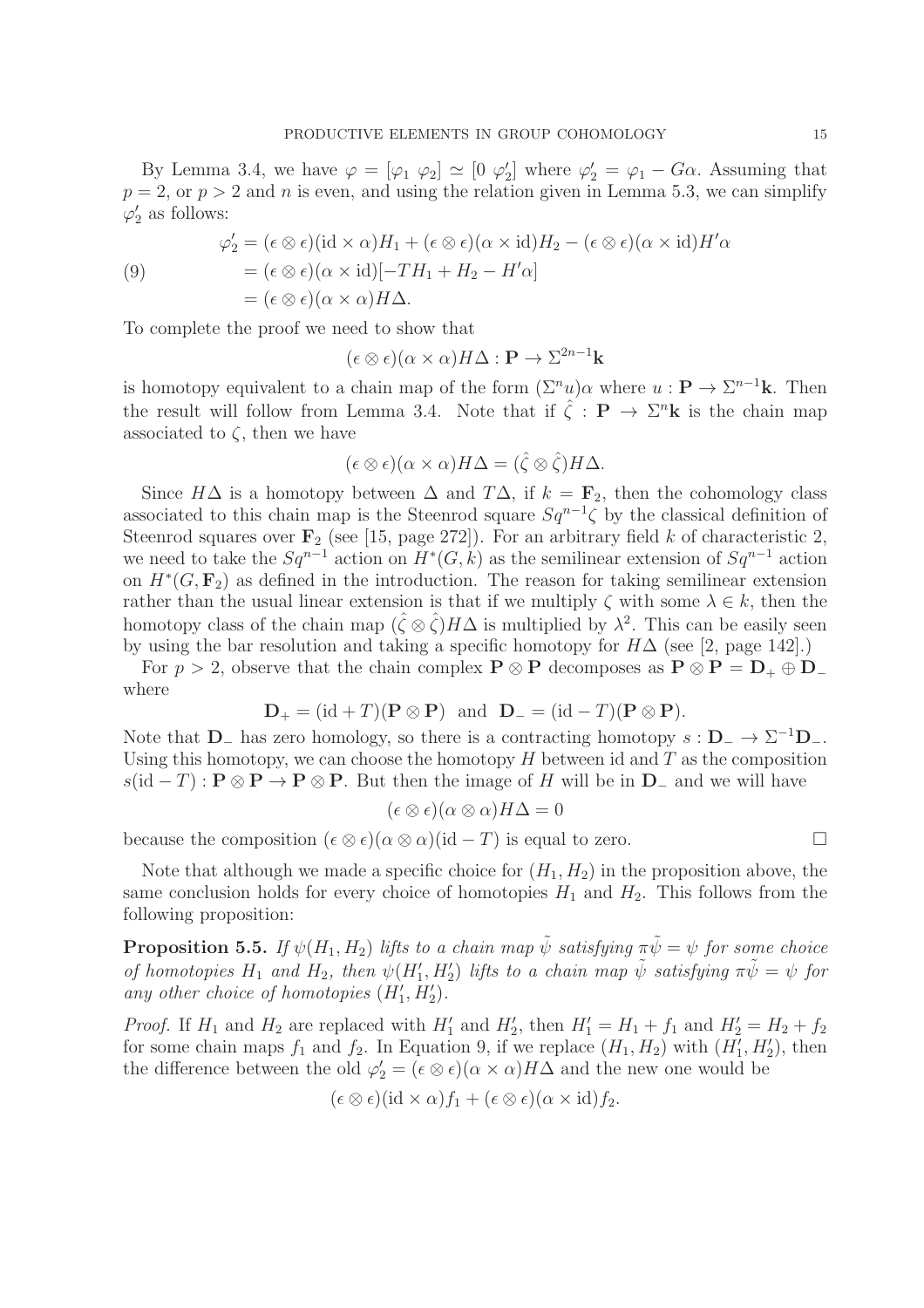By Lemma 3.4, we have  $\varphi = [\varphi_1 \ \varphi_2] \simeq [0 \ \varphi_2]$  $\varphi_2' = \varphi_1 - G\alpha$ . Assuming that  $p = 2$ , or  $p > 2$  and n is even, and using the relation given in Lemma 5.3, we can simplify  $\varphi'_2$  $\frac{7}{2}$  as follows:

(9)  
\n
$$
\varphi_2' = (\epsilon \otimes \epsilon)(\mathrm{id} \times \alpha)H_1 + (\epsilon \otimes \epsilon)(\alpha \times \mathrm{id})H_2 - (\epsilon \otimes \epsilon)(\alpha \times \mathrm{id})H'\alpha
$$
\n
$$
= (\epsilon \otimes \epsilon)(\alpha \times \mathrm{id})[-TH_1 + H_2 - H'\alpha]
$$
\n
$$
= (\epsilon \otimes \epsilon)(\alpha \times \alpha)H\Delta.
$$

To complete the proof we need to show that

$$
(\epsilon \otimes \epsilon)(\alpha \times \alpha)H\Delta : \mathbf{P} \to \Sigma^{2n-1}\mathbf{k}
$$

is homotopy equivalent to a chain map of the form  $(\Sigma^n u) \alpha$  where  $u : \mathbf{P} \to \Sigma^{n-1} \mathbf{k}$ . Then the result will follow from Lemma 3.4. Note that if  $\hat{\zeta}$  :  $P \to \Sigma^{n} \mathbf{k}$  is the chain map associated to  $\zeta$ , then we have

$$
(\epsilon \otimes \epsilon)(\alpha \times \alpha)H\Delta = (\hat{\zeta} \otimes \hat{\zeta})H\Delta.
$$

Since  $H\Delta$  is a homotopy between  $\Delta$  and  $T\Delta$ , if  $k = \mathbf{F}_2$ , then the cohomology class associated to this chain map is the Steenrod square  $Sq^{n-1}\zeta$  by the classical definition of Steenrod squares over  $\mathbf{F}_2$  (see [15, page 272]). For an arbitrary field k of characteristic 2, we need to take the  $Sq^{n-1}$  action on  $H^*(G, k)$  as the semilinear extension of  $Sq^{n-1}$  action on  $H^*(G, \mathbf{F}_2)$  as defined in the introduction. The reason for taking semilinear extension rather than the usual linear extension is that if we multiply  $\zeta$  with some  $\lambda \in k$ , then the homotopy class of the chain map  $(\hat{\zeta} \otimes \hat{\zeta})H\Delta$  is multiplied by  $\lambda^2$ . This can be easily seen by using the bar resolution and taking a specific homotopy for  $H\Delta$  (see [2, page 142].)

For  $p > 2$ , observe that the chain complex  $P \otimes P$  decomposes as  $P \otimes P = D_+ \oplus D_$ where

$$
\mathbf{D}_{+} = (\mathrm{id} + T)(\mathbf{P} \otimes \mathbf{P}) \quad \text{and} \quad \mathbf{D}_{-} = (\mathrm{id} - T)(\mathbf{P} \otimes \mathbf{P}).
$$

Note that  $D_$  has zero homology, so there is a contracting homotopy  $s : D_-\to \Sigma^{-1}D_-.$ Using this homotopy, we can choose the homotopy  $H$  between id and  $T$  as the composition  $s(\mathrm{id}-T): \mathbf{P} \otimes \mathbf{P} \to \mathbf{P} \otimes \mathbf{P}$ . But then the image of H will be in  $\mathbf{D}_-$  and we will have

$$
(\epsilon \otimes \epsilon)(\alpha \otimes \alpha)H\Delta = 0
$$

because the composition  $(\epsilon \otimes \epsilon)(\alpha \otimes \alpha)$  (id - T) is equal to zero.

Note that although we made a specific choice for  $(H_1, H_2)$  in the proposition above, the same conclusion holds for every choice of homotopies  $H_1$  and  $H_2$ . This follows from the following proposition:

**Proposition 5.5.** *If*  $\psi(H_1, H_2)$  *lifts to a chain map*  $\tilde{\psi}$  *satisfying*  $\pi \tilde{\psi} = \psi$  *for some choice of homotopies*  $H_1$  *and*  $H_2$ , *then*  $\psi(H'_1, H'_2)$  *lifts to a chain map*  $\tilde{\psi}$  *satisfying*  $\pi \tilde{\psi} = \psi$  *for* any other choice of homotopies  $(H'_1, H'_2)$ .

*Proof.* If  $H_1$  and  $H_2$  are replaced with  $H'_1$  and  $H'_2$ , then  $H'_1 = H_1 + f_1$  and  $H'_2 = H_2 + f_2$ for some chain maps  $f_1$  and  $f_2$ . In Equation 9, if we replace  $(H_1, H_2)$  with  $(H_1^{\gamma}, H_2^{\prime})$ , then the difference between the old  $\varphi'_2 = (\epsilon \otimes \epsilon)(\alpha \times \alpha)H\Delta$  and the new one would be

$$
(\epsilon \otimes \epsilon)(\mathrm{id} \times \alpha) f_1 + (\epsilon \otimes \epsilon)(\alpha \times \mathrm{id}) f_2.
$$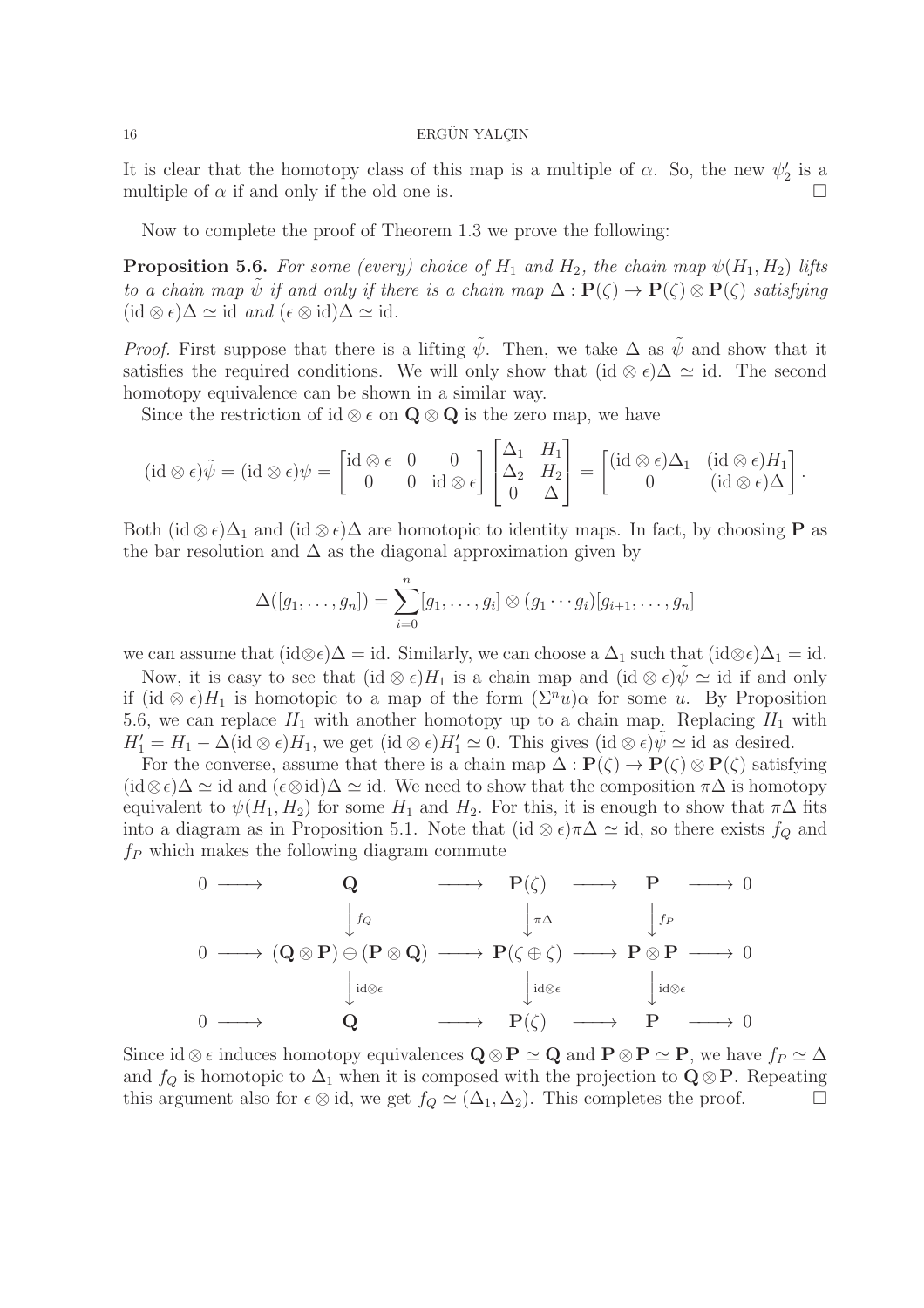It is clear that the homotopy class of this map is a multiple of  $\alpha$ . So, the new  $\psi_2'$  $'_2$  is a multiple of  $\alpha$  if and only if the old one is.

Now to complete the proof of Theorem 1.3 we prove the following:

**Proposition 5.6.** For some (every) choice of  $H_1$  and  $H_2$ , the chain map  $\psi(H_1, H_2)$  lifts *to a chain map*  $\psi$  *if and only if there is a chain map*  $\Delta : \mathbf{P}(\zeta) \to \mathbf{P}(\zeta) \otimes \mathbf{P}(\zeta)$  *satisfying*  $(id \otimes \epsilon)$ ∆ ≃ id *and*  $(\epsilon \otimes id)$ ∆ ≃ id.

*Proof.* First suppose that there is a lifting  $\tilde{\psi}$ . Then, we take  $\Delta$  as  $\tilde{\psi}$  and show that it satisfies the required conditions. We will only show that (id  $\otimes \epsilon$ ) $\Delta \simeq$  id. The second homotopy equivalence can be shown in a similar way.

Since the restriction of id ⊗  $\epsilon$  on  $\mathbf{Q} \otimes \mathbf{Q}$  is the zero map, we have

$$
(\mathrm{id}\otimes \epsilon)\tilde{\psi}=(\mathrm{id}\otimes \epsilon)\psi=\begin{bmatrix} \mathrm{id}\otimes \epsilon & 0 & 0 \\ 0 & 0 & \mathrm{id}\otimes \epsilon \end{bmatrix}\begin{bmatrix} \Delta_1 & H_1 \\ \Delta_2 & H_2 \\ 0 & \Delta \end{bmatrix}=\begin{bmatrix} (\mathrm{id}\otimes \epsilon)\Delta_1 & (\mathrm{id}\otimes \epsilon)H_1 \\ 0 & (\mathrm{id}\otimes \epsilon)\Delta \end{bmatrix}.
$$

Both (id  $\otimes \epsilon$ ) $\Delta_1$  and (id  $\otimes \epsilon$ ) $\Delta$  are homotopic to identity maps. In fact, by choosing **P** as the bar resolution and  $\Delta$  as the diagonal approximation given by

$$
\Delta([g_1,\ldots,g_n])=\sum_{i=0}^n [g_1,\ldots,g_i]\otimes (g_1\cdots g_i)[g_{i+1},\ldots,g_n]
$$

we can assume that  $(id \otimes \epsilon)\Delta = id$ . Similarly, we can choose a  $\Delta_1$  such that  $(id \otimes \epsilon)\Delta_1 = id$ .

Now, it is easy to see that  $(id \otimes \epsilon)H_1$  is a chain map and  $(id \otimes \epsilon)\psi \simeq id$  if and only if  $(id \otimes \epsilon)H_1$  is homotopic to a map of the form  $(\Sigma^n u)\alpha$  for some u. By Proposition 5.6, we can replace  $H_1$  with another homotopy up to a chain map. Replacing  $H_1$  with  $H'_1 = H_1 - \Delta(\mathrm{id} \otimes \epsilon) H_1$ , we get  $(\mathrm{id} \otimes \epsilon) H'_1 \simeq 0$ . This gives  $(\mathrm{id} \otimes \epsilon)\tilde{\psi} \simeq \mathrm{id}$  as desired.

For the converse, assume that there is a chain map  $\Delta : \mathbf{P}(\zeta) \to \mathbf{P}(\zeta) \otimes \mathbf{P}(\zeta)$  satisfying  $(id \otimes \epsilon)\Delta \simeq id$  and  $(\epsilon \otimes id)\Delta \simeq id$ . We need to show that the composition  $\pi\Delta$  is homotopy equivalent to  $\psi(H_1, H_2)$  for some  $H_1$  and  $H_2$ . For this, it is enough to show that  $\pi\Delta$  fits into a diagram as in Proposition 5.1. Note that (id ⊗  $\epsilon$ ) $\pi\Delta \simeq$  id, so there exists  $f_Q$  and  $f_P$  which makes the following diagram commute



Since id ⊗  $\epsilon$  induces homotopy equivalences  $\mathbf{Q} \otimes \mathbf{P} \simeq \mathbf{Q}$  and  $\mathbf{P} \otimes \mathbf{P} \simeq \mathbf{P}$ , we have  $f_P \simeq \Delta$ and  $f_Q$  is homotopic to  $\Delta_1$  when it is composed with the projection to  $\mathbf{Q} \otimes \mathbf{P}$ . Repeating this argument also for  $\epsilon \otimes id$ , we get  $f_Q \simeq (\Delta_1, \Delta_2)$ . This completes the proof.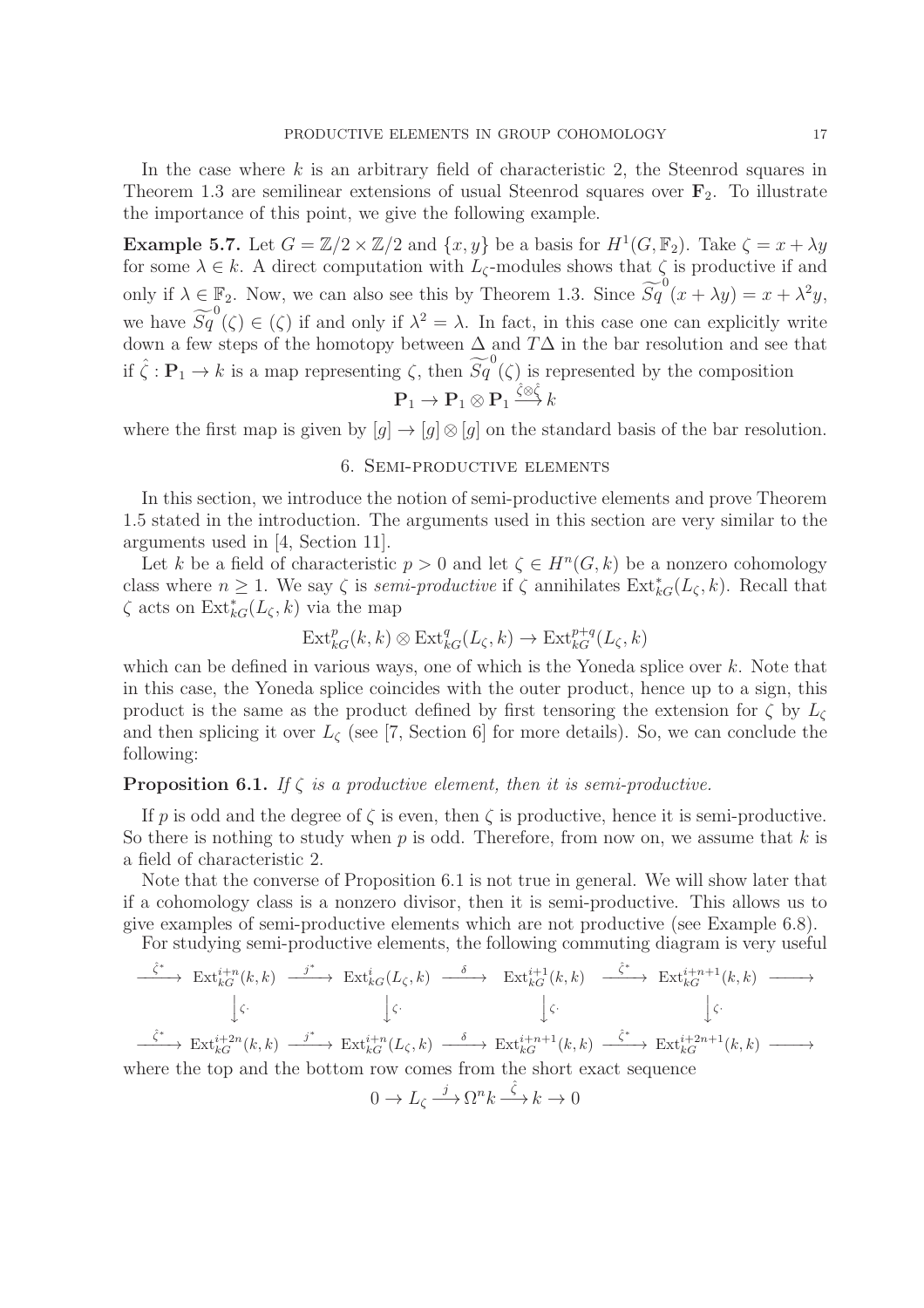In the case where  $k$  is an arbitrary field of characteristic 2, the Steenrod squares in Theorem 1.3 are semilinear extensions of usual Steenrod squares over  $\mathbf{F}_2$ . To illustrate the importance of this point, we give the following example.

**Example 5.7.** Let  $G = \mathbb{Z}/2 \times \mathbb{Z}/2$  and  $\{x, y\}$  be a basis for  $H^1(G, \mathbb{F}_2)$ . Take  $\zeta = x + \lambda y$ for some  $\lambda \in k$ . A direct computation with  $L_{\zeta}$ -modules shows that  $\zeta$  is productive if and only if  $\lambda \in \mathbb{F}_2$ . Now, we can also see this by Theorem 1.3. Since  $\widetilde{Sq}^0(x + \lambda y) = x + \lambda^2 y$ , we have  $\widetilde{Sq}^0(\zeta) \in (\zeta)$  if and only if  $\lambda^2 = \lambda$ . In fact, in this case one can explicitly write down a few steps of the homotopy between  $\Delta$  and  $T\Delta$  in the bar resolution and see that if  $\hat{\zeta}: \mathbf{P}_1 \to k$  is a map representing  $\zeta$ , then  $\widetilde{Sq}^0(\zeta)$  is represented by the composition

$$
\mathbf{P}_1 \to \mathbf{P}_1 \otimes \mathbf{P}_1 \xrightarrow{\hat{\zeta} \otimes \hat{\zeta}} k
$$

where the first map is given by  $[g] \to [g] \otimes [g]$  on the standard basis of the bar resolution.

# 6. Semi-productive elements

In this section, we introduce the notion of semi-productive elements and prove Theorem 1.5 stated in the introduction. The arguments used in this section are very similar to the arguments used in [4, Section 11].

Let k be a field of characteristic  $p > 0$  and let  $\zeta \in H^n(G, k)$  be a nonzero cohomology class where  $n \geq 1$ . We say  $\zeta$  is *semi-productive* if  $\zeta$  annihilates  $\text{Ext}_{kG}^*(L_{\zeta}, k)$ . Recall that  $\zeta$  acts on  $\mathrm{Ext}_{kG}^*(L_\zeta, k)$  via the map

$$
\mathrm{Ext}^p_{kG}(k,k)\otimes \mathrm{Ext}^q_{kG}(L_{\zeta},k)\to \mathrm{Ext}^{p+q}_{kG}(L_{\zeta},k)
$$

which can be defined in various ways, one of which is the Yoneda splice over  $k$ . Note that in this case, the Yoneda splice coincides with the outer product, hence up to a sign, this product is the same as the product defined by first tensoring the extension for  $\zeta$  by  $L_{\zeta}$ and then splicing it over  $L_{\zeta}$  (see [7, Section 6] for more details). So, we can conclude the following:

# **Proposition 6.1.** *If*  $\zeta$  *is a productive element, then it is semi-productive.*

If p is odd and the degree of  $\zeta$  is even, then  $\zeta$  is productive, hence it is semi-productive. So there is nothing to study when  $p$  is odd. Therefore, from now on, we assume that  $k$  is a field of characteristic 2.

Note that the converse of Proposition 6.1 is not true in general. We will show later that if a cohomology class is a nonzero divisor, then it is semi-productive. This allows us to give examples of semi-productive elements which are not productive (see Example 6.8).

For studying semi-productive elements, the following commuting diagram is very useful

$$
\begin{array}{ccccccc}\n\hat{\zeta}^{*} & \operatorname{Ext}_{kG}^{i+n}(k,k) & \xrightarrow{j^{*}} & \operatorname{Ext}_{kG}^{i}(L_{\zeta},k) & \xrightarrow{\delta} & \operatorname{Ext}_{kG}^{i+1}(k,k) & \xrightarrow{\hat{\zeta}^{*}} & \operatorname{Ext}_{kG}^{i+n+1}(k,k) & \xrightarrow{\hat{\zeta}^{*}} & \\
& & \downarrow \zeta & & \downarrow \zeta & & \downarrow \zeta \\
\downarrow \zeta & & \downarrow \zeta & & \downarrow \zeta & & \downarrow \zeta \\
\xrightarrow{\hat{\zeta}^{*}} & \operatorname{Ext}_{kG}^{i+2n}(k,k) & \xrightarrow{j^{*}} & \operatorname{Ext}_{kG}^{i+n}(L_{\zeta},k) & \xrightarrow{\delta} & \operatorname{Ext}_{kG}^{i+n+1}(k,k) & \xrightarrow{\hat{\zeta}^{*}} & \operatorname{Ext}_{kG}^{i+2n+1}(k,k) & \xrightarrow{\hat{\zeta}^{*}} \\
\text{where the top and the bottom row comes from the short exact sequence} & & \downarrow \zeta & & \downarrow \zeta & & \downarrow \zeta & & \downarrow \zeta & & \downarrow \zeta \\
\end{array}
$$

$$
0 \to L_{\zeta} \xrightarrow{j} \Omega^{n} k \xrightarrow{\hat{\zeta}} k \to 0
$$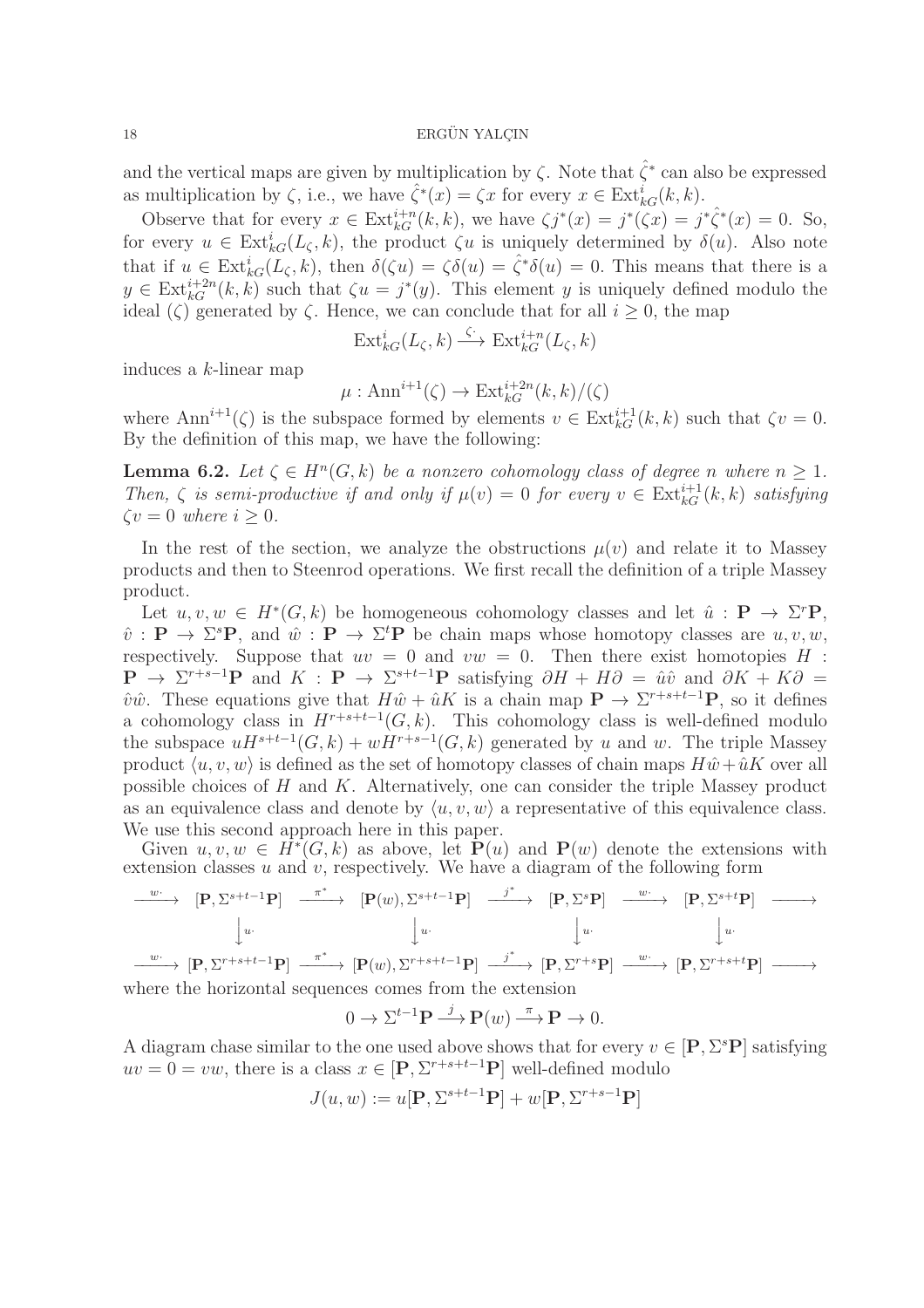and the vertical maps are given by multiplication by  $\zeta$ . Note that  $\hat{\zeta}^*$  can also be expressed as multiplication by  $\zeta$ , i.e., we have  $\hat{\zeta}^*(x) = \zeta x$  for every  $x \in \text{Ext}_{kG}^i(k, k)$ .

Observe that for every  $x \in \text{Ext}_{kG}^{i+n}(k,k)$ , we have  $\zeta j^*(x) = j^*(\zeta x) = j^*\hat{\zeta}^*(x) = 0$ . So, for every  $u \in \text{Ext}_{kG}^{i}(L_{\zeta}, k)$ , the product  $\zeta u$  is uniquely determined by  $\delta(u)$ . Also note that if  $u \in \text{Ext}_{kG}^{i}(L_{\zeta}, k)$ , then  $\delta(\zeta u) = \zeta(\delta(u)) = \hat{\zeta}^* \delta(u) = 0$ . This means that there is a  $y \in \text{Ext}_{kG}^{i+2n}(k,k)$  such that  $\zeta u = j^*(y)$ . This element y is uniquely defined modulo the ideal ( $\zeta$ ) generated by  $\zeta$ . Hence, we can conclude that for all  $i \geq 0$ , the map

$$
\text{Ext}_{kG}^{i}(L_{\zeta},k)\xrightarrow{\zeta^{*}}\text{Ext}_{kG}^{i+n}(L_{\zeta},k)
$$

induces a k-linear map

$$
\mu: \mathrm{Ann}^{i+1}(\zeta) \to \mathrm{Ext}^{i+2n}_{kG}(k,k)/(\zeta)
$$

where  $\text{Ann}^{i+1}(\zeta)$  is the subspace formed by elements  $v \in \text{Ext}_{kG}^{i+1}(k, k)$  such that  $\zeta v = 0$ . By the definition of this map, we have the following:

**Lemma 6.2.** Let  $\zeta \in H^n(G,k)$  be a nonzero cohomology class of degree n where  $n \geq 1$ . *Then,*  $\zeta$  *is semi-productive if and only if*  $\mu(v) = 0$  *for every*  $v \in \text{Ext}_{kG}^{i+1}(k, k)$  *satisfying*  $\zeta v = 0$  where  $i > 0$ .

In the rest of the section, we analyze the obstructions  $\mu(v)$  and relate it to Massey products and then to Steenrod operations. We first recall the definition of a triple Massey product.

Let  $u, v, w \in H^*(G, k)$  be homogeneous cohomology classes and let  $\hat{u} : \mathbf{P} \to \Sigma^r \mathbf{P}$ ,  $\hat{v}: \mathbf{P} \to \Sigma^s \mathbf{P}$ , and  $\hat{w}: \mathbf{P} \to \Sigma^t \mathbf{P}$  be chain maps whose homotopy classes are  $u, v, w$ , respectively. Suppose that  $uv = 0$  and  $vw = 0$ . Then there exist homotopies H :  $\mathbf{P} \to \Sigma^{r+s-1} \mathbf{P}$  and  $K : \mathbf{P} \to \Sigma^{s+t-1} \mathbf{P}$  satisfying  $\partial H + H \partial = \hat{u} \hat{v}$  and  $\partial K + K \partial =$  $\hat{v}\hat{w}$ . These equations give that  $H\hat{w} + \hat{u}K$  is a chain map  $\mathbf{P} \to \Sigma^{r+s+t-1}\mathbf{P}$ , so it defines a cohomology class in  $H^{r+s+t-1}(G, k)$ . This cohomology class is well-defined modulo the subspace  $uH^{s+t-1}(G, k) + wH^{r+s-1}(G, k)$  generated by u and w. The triple Massey product  $\langle u, v, w \rangle$  is defined as the set of homotopy classes of chain maps  $H\hat{w} + \hat{u}K$  over all possible choices of  $H$  and  $K$ . Alternatively, one can consider the triple Massey product as an equivalence class and denote by  $\langle u, v, w \rangle$  a representative of this equivalence class. We use this second approach here in this paper.

Given  $u, v, w \in \overrightarrow{H^*}(G, k)$  as above, let  $\mathbf{P}(u)$  and  $\mathbf{P}(w)$  denote the extensions with extension classes  $u$  and  $v$ , respectively. We have a diagram of the following form

<sup>w</sup>· −−−−→ [P, <sup>Σ</sup> <sup>s</sup>+t−1P] π ∗ −−−−→ [P(w), Σ <sup>s</sup>+t−1P] j ∗ −−−−→ [P, Σ <sup>s</sup>P] <sup>w</sup>· −−−−→ [P, <sup>Σ</sup> <sup>s</sup>+tP] −−−−→ yu· yu· yu· yu· <sup>w</sup>· −−−−→ [P, <sup>Σ</sup> <sup>r</sup>+s+t−1P] π ∗ −−−−→ [P(w), Σ <sup>r</sup>+s+t−1P] j ∗ −−−−→ [P, Σ <sup>r</sup>+sP] <sup>w</sup>· −−−−→ [P, <sup>Σ</sup> <sup>r</sup>+s+tP] −−−−→ where the horizontal sequences comes from the extension

$$
0 \to \Sigma^{t-1} \mathbf{P} \xrightarrow{j} \mathbf{P}(w) \xrightarrow{\pi} \mathbf{P} \to 0.
$$

A diagram chase similar to the one used above shows that for every  $v \in [P, \Sigma^s P]$  satisfying  $uv = 0 = vw$ , there is a class  $x \in [P, \Sigma^{r+s+t-1}P]$  well-defined modulo

$$
J(u,w):=u[{\bf P},\Sigma^{s+t-1}{\bf P}]+w[{\bf P},\Sigma^{r+s-1}{\bf P}]
$$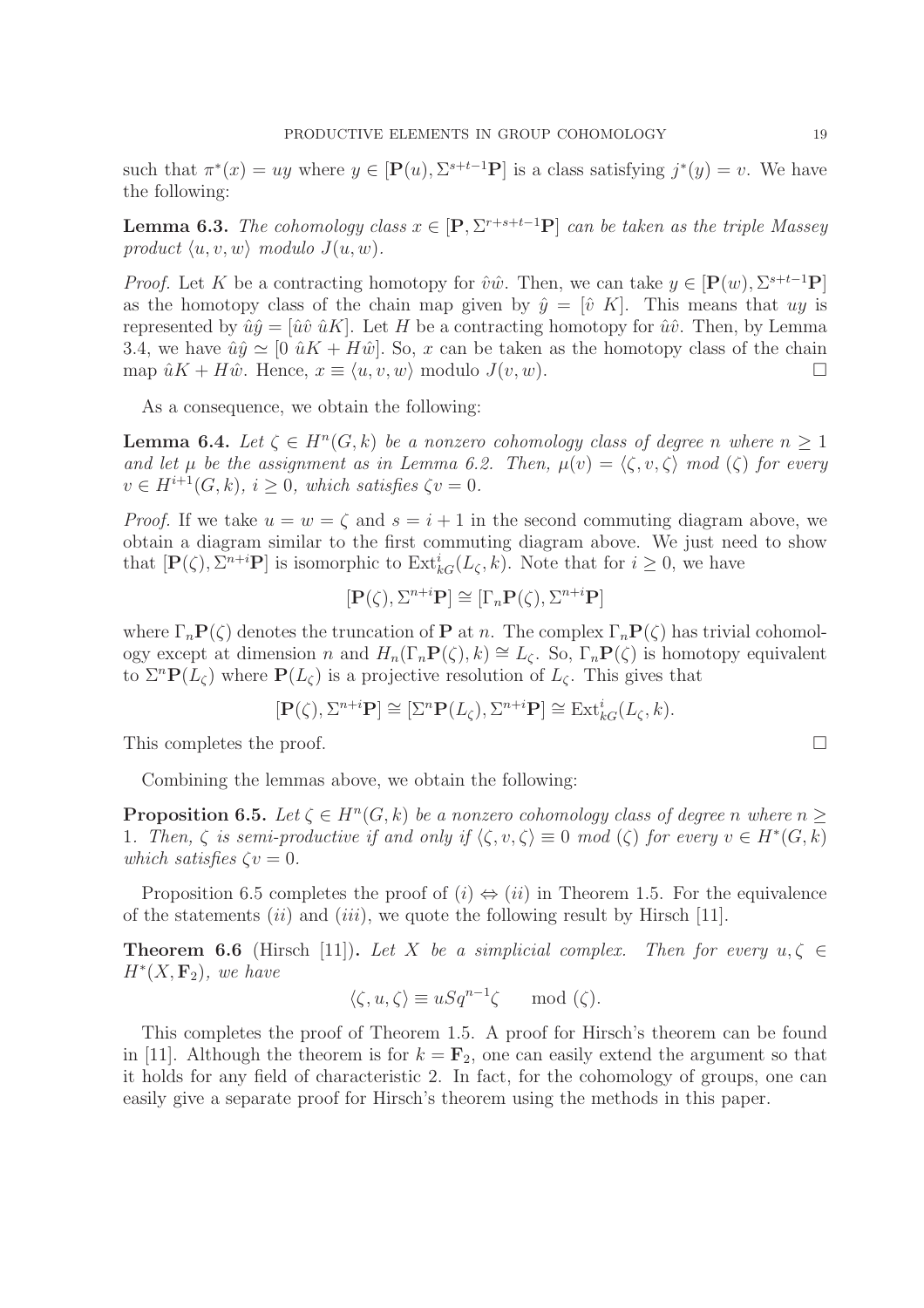such that  $\pi^*(x) = uy$  where  $y \in [\mathbf{P}(u), \Sigma^{s+t-1}\mathbf{P}]$  is a class satisfying  $j^*(y) = v$ . We have the following:

**Lemma 6.3.** *The cohomology class*  $x \in [\mathbf{P}, \Sigma^{r+s+t-1}\mathbf{P}]$  *can be taken as the triple Massey product*  $\langle u, v, w \rangle$  *modulo*  $J(u, w)$ *.* 

*Proof.* Let K be a contracting homotopy for  $\hat{v}\hat{w}$ . Then, we can take  $y \in [P(w), \Sigma^{s+t-1}P]$ as the homotopy class of the chain map given by  $\hat{y} = [\hat{v} \; K]$ . This means that uy is represented by  $\hat{u}\hat{y} = [\hat{u}\hat{v}\hat{u}K]$ . Let H be a contracting homotopy for  $\hat{u}\hat{v}$ . Then, by Lemma 3.4, we have  $\hat{u}\hat{y} \simeq [0 \hat{u}K + H\hat{w}]$ . So, x can be taken as the homotopy class of the chain map  $\hat{u}K + H\hat{w}$ . Hence,  $x \equiv \langle u, v, w \rangle$  modulo  $J(v, w)$ .

As a consequence, we obtain the following:

**Lemma 6.4.** Let  $\zeta \in H^n(G, k)$  be a nonzero cohomology class of degree n where  $n \geq 1$ *and let*  $\mu$  *be the assignment as in Lemma 6.2. Then,*  $\mu(v) = \langle \zeta, v, \zeta \rangle$  *mod*  $(\zeta)$  *for every*  $v \in H^{i+1}(G, k)$ ,  $i \geq 0$ , which satisfies  $\zeta v = 0$ .

*Proof.* If we take  $u = w = \zeta$  and  $s = i + 1$  in the second commuting diagram above, we obtain a diagram similar to the first commuting diagram above. We just need to show that  $[\mathbf{P}(\zeta), \Sigma^{n+i}\mathbf{P}]$  is isomorphic to  $\text{Ext}_{kG}^i(L_\zeta, k)$ . Note that for  $i \geq 0$ , we have

$$
[\mathbf{P}(\zeta), \Sigma^{n+i}\mathbf{P}] \cong [\Gamma_n \mathbf{P}(\zeta), \Sigma^{n+i}\mathbf{P}]
$$

where  $\Gamma_n \mathbf{P}(\zeta)$  denotes the truncation of **P** at *n*. The complex  $\Gamma_n \mathbf{P}(\zeta)$  has trivial cohomology except at dimension n and  $H_n(\Gamma_n P(\zeta), k) \cong L_\zeta$ . So,  $\Gamma_n P(\zeta)$  is homotopy equivalent to  $\Sigma^n \mathbf{P}(L_{\zeta})$  where  $\mathbf{P}(L_{\zeta})$  is a projective resolution of  $L_{\zeta}$ . This gives that

$$
[\mathbf{P}(\zeta), \Sigma^{n+i}\mathbf{P}] \cong [\Sigma^n \mathbf{P}(L_{\zeta}), \Sigma^{n+i}\mathbf{P}] \cong \text{Ext}_{kG}^i(L_{\zeta}, k).
$$

This completes the proof.  $\Box$ 

Combining the lemmas above, we obtain the following:

**Proposition 6.5.** Let  $\zeta \in H^n(G,k)$  be a nonzero cohomology class of degree n where  $n \geq 1$ 1*.* Then,  $\zeta$  is semi-productive if and only if  $\langle \zeta, v, \zeta \rangle \equiv 0 \mod (\zeta)$  for every  $v \in H^*(G, k)$ *which satisfies*  $\zeta v = 0$ *.* 

Proposition 6.5 completes the proof of  $(i) \Leftrightarrow (ii)$  in Theorem 1.5. For the equivalence of the statements (ii) and (iii), we quote the following result by Hirsch [11].

**Theorem 6.6** (Hirsch [11]). Let X be a simplicial complex. Then for every  $u, \zeta \in$  $H^*(X, \mathbf{F}_2)$ , we have

$$
\langle \zeta, u, \zeta \rangle \equiv uSq^{n-1}\zeta \mod(\zeta).
$$

This completes the proof of Theorem 1.5. A proof for Hirsch's theorem can be found in [11]. Although the theorem is for  $k = \mathbf{F}_2$ , one can easily extend the argument so that it holds for any field of characteristic 2. In fact, for the cohomology of groups, one can easily give a separate proof for Hirsch's theorem using the methods in this paper.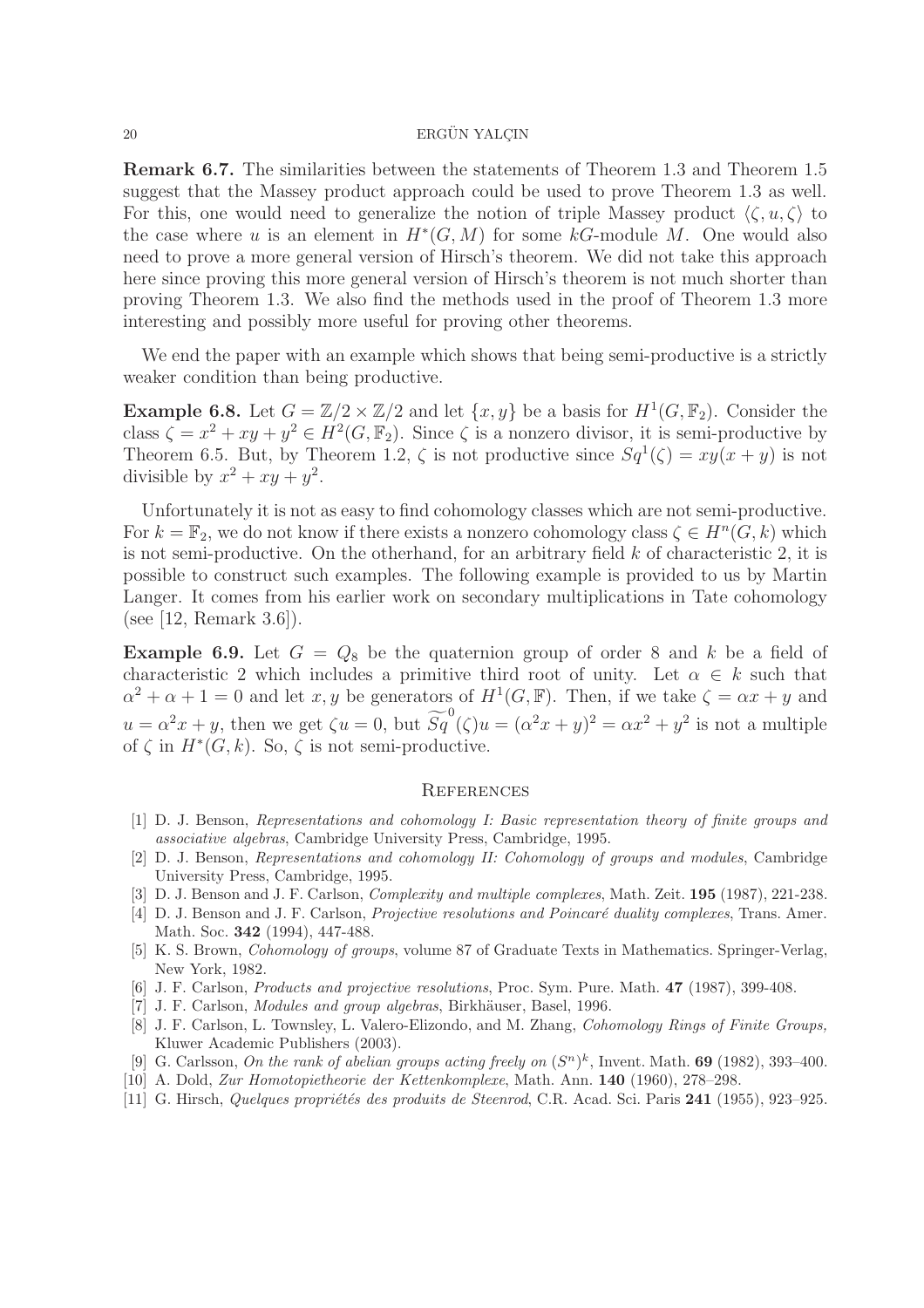Remark 6.7. The similarities between the statements of Theorem 1.3 and Theorem 1.5 suggest that the Massey product approach could be used to prove Theorem 1.3 as well. For this, one would need to generalize the notion of triple Massey product  $\langle \zeta, u, \zeta \rangle$  to the case where u is an element in  $H^*(G, M)$  for some kG-module M. One would also need to prove a more general version of Hirsch's theorem. We did not take this approach here since proving this more general version of Hirsch's theorem is not much shorter than proving Theorem 1.3. We also find the methods used in the proof of Theorem 1.3 more interesting and possibly more useful for proving other theorems.

We end the paper with an example which shows that being semi-productive is a strictly weaker condition than being productive.

**Example 6.8.** Let  $G = \mathbb{Z}/2 \times \mathbb{Z}/2$  and let  $\{x, y\}$  be a basis for  $H^1(G, \mathbb{F}_2)$ . Consider the class  $\zeta = x^2 + xy + y^2 \in H^2(G, \mathbb{F}_2)$ . Since  $\zeta$  is a nonzero divisor, it is semi-productive by Theorem 6.5. But, by Theorem 1.2,  $\zeta$  is not productive since  $Sq^1(\zeta) = xy(x + y)$  is not divisible by  $x^2 + xy + y^2$ .

Unfortunately it is not as easy to find cohomology classes which are not semi-productive. For  $k = \mathbb{F}_2$ , we do not know if there exists a nonzero cohomology class  $\zeta \in H^n(G, k)$  which is not semi-productive. On the otherhand, for an arbitrary field  $k$  of characteristic 2, it is possible to construct such examples. The following example is provided to us by Martin Langer. It comes from his earlier work on secondary multiplications in Tate cohomology (see [12, Remark 3.6]).

**Example 6.9.** Let  $G = Q_8$  be the quaternion group of order 8 and k be a field of characteristic 2 which includes a primitive third root of unity. Let  $\alpha \in k$  such that  $\alpha^2 + \alpha + 1 = 0$  and let x, y be generators of  $H^1(G, \mathbb{F})$ . Then, if we take  $\zeta = \alpha x + y$  and  $u = \alpha^2 x + y$ , then we get  $\zeta u = 0$ , but  $\widetilde{Sq}^0(\zeta)u = (\alpha^2 x + y)^2 = \alpha x^2 + y^2$  is not a multiple of  $\zeta$  in  $H^*(G, k)$ . So,  $\zeta$  is not semi-productive.

#### **REFERENCES**

- [1] D. J. Benson, *Representations and cohomology I: Basic representation theory of finite groups and associative algebras*, Cambridge University Press, Cambridge, 1995.
- [2] D. J. Benson, *Representations and cohomology II: Cohomology of groups and modules*, Cambridge University Press, Cambridge, 1995.
- [3] D. J. Benson and J. F. Carlson, *Complexity and multiple complexes*, Math. Zeit. 195 (1987), 221-238.
- [4] D. J. Benson and J. F. Carlson, *Projective resolutions and Poincaré duality complexes*, Trans. Amer. Math. Soc. 342 (1994), 447-488.
- [5] K. S. Brown, *Cohomology of groups*, volume 87 of Graduate Texts in Mathematics. Springer-Verlag, New York, 1982.
- [6] J. F. Carlson, *Products and projective resolutions*, Proc. Sym. Pure. Math. 47 (1987), 399-408.
- [7] J. F. Carlson, *Modules and group algebras*, Birkhäuser, Basel, 1996.
- [8] J. F. Carlson, L. Townsley, L. Valero-Elizondo, and M. Zhang, *Cohomology Rings of Finite Groups,* Kluwer Academic Publishers (2003).
- [9] G. Carlsson, *On the rank of abelian groups acting freely on*  $(S^n)^k$ , Invent. Math. **69** (1982), 393-400.
- [10] A. Dold, *Zur Homotopietheorie der Kettenkomplexe*, Math. Ann. 140 (1960), 278–298.
- [11] G. Hirsch, *Quelques propriétés des produits de Steenrod*, C.R. Acad. Sci. Paris 241 (1955), 923–925.